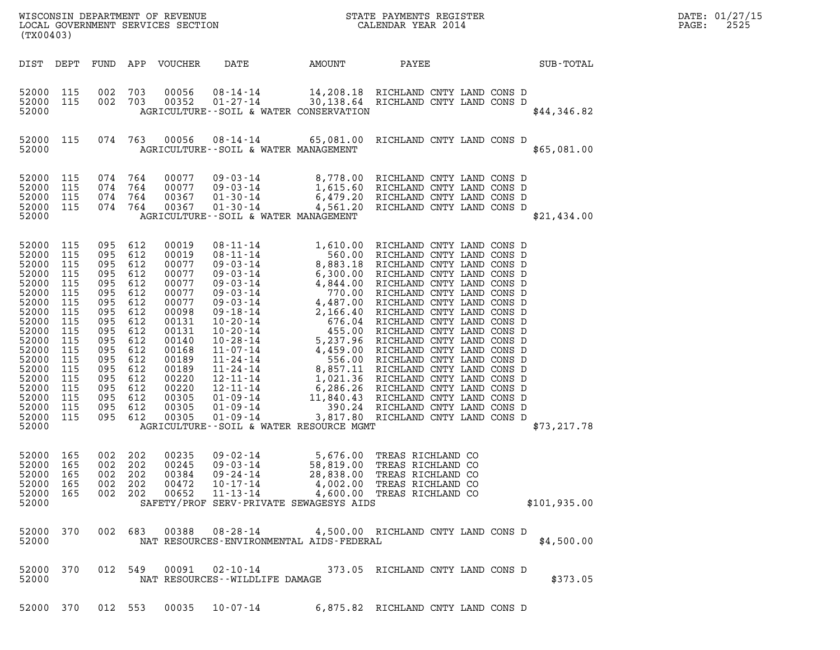| WISCONSIN DEPARTMENT OF REVENUE<br>LOCAL GOVERNMENT SERVICES SECTION<br>(TX00403) | STATE PAYMENTS REGISTER<br>CALENDAR YEAR 2014 | DATE: 01/27/15<br>2525<br>PAGE: |
|-----------------------------------------------------------------------------------|-----------------------------------------------|---------------------------------|

| (TX00403)                                                                                                                                                                        |                                                                                                                                   |                                                                                                                                   |                                                                                                                                   |                                                                                                                                                                         |                                               |                                          |                                                                                                                                                                                                       |              |
|----------------------------------------------------------------------------------------------------------------------------------------------------------------------------------|-----------------------------------------------------------------------------------------------------------------------------------|-----------------------------------------------------------------------------------------------------------------------------------|-----------------------------------------------------------------------------------------------------------------------------------|-------------------------------------------------------------------------------------------------------------------------------------------------------------------------|-----------------------------------------------|------------------------------------------|-------------------------------------------------------------------------------------------------------------------------------------------------------------------------------------------------------|--------------|
| DIST DEPT                                                                                                                                                                        |                                                                                                                                   |                                                                                                                                   |                                                                                                                                   | FUND APP VOUCHER DATE                                                                                                                                                   |                                               | AMOUNT PAYEE                             |                                                                                                                                                                                                       | SUB-TOTAL    |
| 52000<br>52000<br>52000                                                                                                                                                          | 115<br>115                                                                                                                        | 002<br>002                                                                                                                        | 703<br>703                                                                                                                        | 00056<br>00352                                                                                                                                                          |                                               | AGRICULTURE--SOIL & WATER CONSERVATION   | 08-14-14 14,208.18 RICHLAND CNTY LAND CONS D<br>01-27-14 30,138.64 RICHLAND CNTY LAND CONS D                                                                                                          | \$44,346.82  |
| 52000<br>52000                                                                                                                                                                   | 115                                                                                                                               |                                                                                                                                   | 074 763                                                                                                                           | 00056                                                                                                                                                                   |                                               | AGRICULTURE--SOIL & WATER MANAGEMENT     | 08-14-14 65,081.00 RICHLAND CNTY LAND CONS D                                                                                                                                                          | \$65,081.00  |
| 52000<br>52000<br>52000<br>52000<br>52000                                                                                                                                        | 115<br>115<br>115<br>115                                                                                                          | 074<br>074<br>074<br>074                                                                                                          | 764<br>764<br>764<br>764                                                                                                          |                                                                                                                                                                         |                                               |                                          | 1999-03-14 1,615.60 RICHLAND CNTY LAND CONS D<br>64 00077 09-03-14 1,615.60 RICHLAND CNTY LAND CONS D<br>64 00367 01-30-14 4,561.20 RICHLAND CNTY LAND CONS D<br>AGRICULTURE--SOIL & WATER MANAGEMENT | \$21,434.00  |
| 52000<br>52000<br>52000<br>52000<br>52000<br>52000<br>52000<br>52000<br>52000<br>52000<br>52000<br>52000<br>52000<br>52000<br>52000<br>52000<br>52000<br>52000<br>52000<br>52000 | 115<br>115<br>115<br>115<br>115<br>115<br>115<br>115<br>115<br>115<br>115<br>115<br>115<br>115<br>115<br>115<br>115<br>115<br>115 | 095<br>095<br>095<br>095<br>095<br>095<br>095<br>095<br>095<br>095<br>095<br>095<br>095<br>095<br>095<br>095<br>095<br>095<br>095 | 612<br>612<br>612<br>612<br>612<br>612<br>612<br>612<br>612<br>612<br>612<br>612<br>612<br>612<br>612<br>612<br>612<br>612<br>612 | 00019<br>00019<br>00077<br>00077<br>00077<br>00077<br>00077<br>00098<br>00131<br>00131<br>00140<br>00168<br>00189<br>00189<br>00220<br>00220<br>00305<br>00305<br>00305 |                                               | AGRICULTURE--SOIL & WATER RESOURCE MGMT  |                                                                                                                                                                                                       | \$73, 217.78 |
| 52000<br>52000<br>52000<br>52000<br>52000<br>52000                                                                                                                               | 165<br>165<br>165<br>165<br>165                                                                                                   | 002<br>002<br>002<br>002<br>002                                                                                                   | 202<br>202<br>202<br>202<br>202                                                                                                   | 00235<br>00245<br>00384<br>00472<br>00652                                                                                                                               |                                               | SAFETY/PROF SERV-PRIVATE SEWAGESYS AIDS  | 09-02-14 5,676.00 TREAS RICHLAND CO<br>09-03-14 58,819.00 TREAS RICHLAND CO<br>09-24-14 28,838.00 TREAS RICHLAND CO<br>10-17-14 4,002.00 TREAS RICHLAND CO<br>11-13-14 4,600.00 TREAS RICHLAND CO     | \$101,935.00 |
| 52000 370<br>52000                                                                                                                                                               |                                                                                                                                   |                                                                                                                                   | 002 683                                                                                                                           | 00388                                                                                                                                                                   | 08-28-14                                      | NAT RESOURCES-ENVIRONMENTAL AIDS-FEDERAL | 4,500.00 RICHLAND CNTY LAND CONS D                                                                                                                                                                    | \$4,500.00   |
| 52000<br>52000                                                                                                                                                                   | 370                                                                                                                               |                                                                                                                                   | 012 549                                                                                                                           | 00091                                                                                                                                                                   | 02-10-14<br>NAT RESOURCES - - WILDLIFE DAMAGE |                                          | 373.05 RICHLAND CNTY LAND CONS D                                                                                                                                                                      | \$373.05     |
| 52000 370                                                                                                                                                                        |                                                                                                                                   |                                                                                                                                   | 012 553                                                                                                                           | 00035                                                                                                                                                                   | $10 - 07 - 14$                                |                                          | 6,875.82 RICHLAND CNTY LAND CONS D                                                                                                                                                                    |              |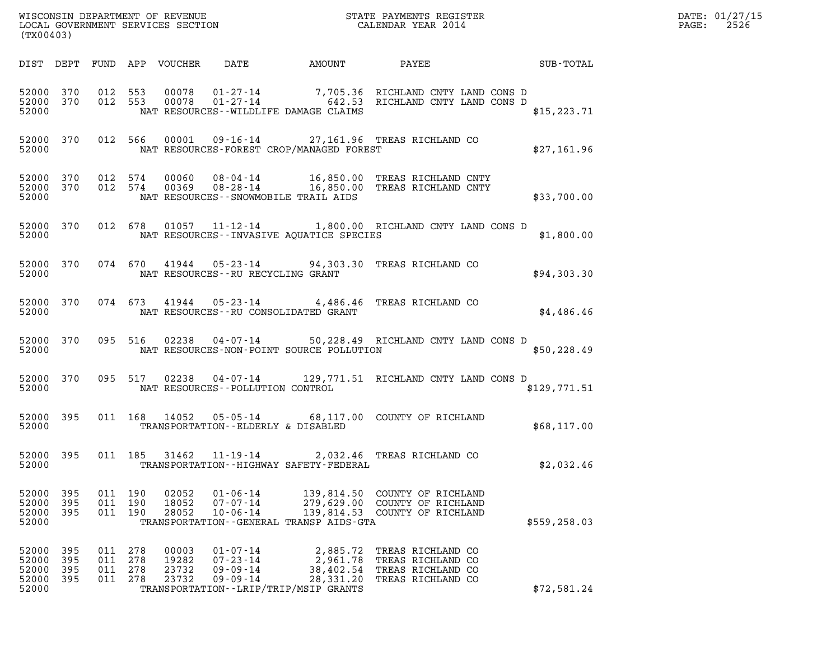|       | DATE: 01/27/15 |
|-------|----------------|
| PAGE: | 2526           |

| (TX00403)                                 |                            |                                      |                                         |                                                                      |                                                                                            |                                                                                                              | $\mathcal{L}(\mathcal{L}^{\text{max}}_{\mathcal{L}^{\text{max}}_{\mathcal{L}^{\text{max}}_{\mathcal{L}^{\text{max}}_{\mathcal{L}^{\text{max}}_{\mathcal{L}^{\text{max}}_{\mathcal{L}^{\text{max}}_{\mathcal{L}^{\text{max}}_{\mathcal{L}^{\text{max}}_{\mathcal{L}^{\text{max}}_{\mathcal{L}^{\text{max}}_{\mathcal{L}^{\text{max}}_{\mathcal{L}^{\text{max}}_{\mathcal{L}^{\text{max}}_{\mathcal{L}^{\text{max}}_{\mathcal{L}^{\text{max}}_{\mathcal{L}$ | DATE: 01/27/15<br>2526<br>$\mathtt{PAGE:}$ |
|-------------------------------------------|----------------------------|--------------------------------------|-----------------------------------------|----------------------------------------------------------------------|--------------------------------------------------------------------------------------------|--------------------------------------------------------------------------------------------------------------|-----------------------------------------------------------------------------------------------------------------------------------------------------------------------------------------------------------------------------------------------------------------------------------------------------------------------------------------------------------------------------------------------------------------------------------------------------------|--------------------------------------------|
|                                           |                            |                                      |                                         |                                                                      |                                                                                            | DIST DEPT FUND APP VOUCHER DATE AMOUNT PAYEE SUB-TOTAL                                                       |                                                                                                                                                                                                                                                                                                                                                                                                                                                           |                                            |
| 52000                                     |                            |                                      |                                         |                                                                      | NAT RESOURCES--WILDLIFE DAMAGE CLAIMS                                                      |                                                                                                              | \$15, 223.71                                                                                                                                                                                                                                                                                                                                                                                                                                              |                                            |
| 52000 370<br>52000                        |                            |                                      |                                         |                                                                      |                                                                                            | 012 566 00001 09-16-14 27,161.96 TREAS RICHLAND CO<br>NAT RESOURCES-FOREST CROP/MANAGED FOREST               | \$27,161.96                                                                                                                                                                                                                                                                                                                                                                                                                                               |                                            |
| 52000 370<br>52000 370<br>52000           |                            |                                      |                                         |                                                                      | NAT RESOURCES - - SNOWMOBILE TRAIL AIDS                                                    | 012 574 00060 08-04-14 16,850.00 TREAS RICHLAND CNTY<br>012 574 00369 08-28-14 16,850.00 TREAS RICHLAND CNTY | \$33,700.00                                                                                                                                                                                                                                                                                                                                                                                                                                               |                                            |
| 52000                                     |                            |                                      |                                         |                                                                      | NAT RESOURCES--INVASIVE AQUATICE SPECIES                                                   | 52000 370 012 678 01057 11-12-14 1,800.00 RICHLAND CNTY LAND CONS D                                          | \$1,800.00                                                                                                                                                                                                                                                                                                                                                                                                                                                |                                            |
| 52000                                     |                            |                                      |                                         | NAT RESOURCES--RU RECYCLING GRANT                                    |                                                                                            | 52000 370 074 670 41944 05-23-14 94,303.30 TREAS RICHLAND CO                                                 | \$94,303.30                                                                                                                                                                                                                                                                                                                                                                                                                                               |                                            |
| 52000                                     |                            |                                      |                                         |                                                                      | NAT RESOURCES--RU CONSOLIDATED GRANT                                                       | 52000 370 074 673 41944 05-23-14 4,486.46 TREAS RICHLAND CO                                                  | \$4,486.46                                                                                                                                                                                                                                                                                                                                                                                                                                                |                                            |
| 52000                                     |                            |                                      |                                         |                                                                      | NAT RESOURCES-NON-POINT SOURCE POLLUTION                                                   | 52000 370 095 516 02238 04-07-14 50,228.49 RICHLAND CNTY LAND CONS D                                         | \$50,228.49                                                                                                                                                                                                                                                                                                                                                                                                                                               |                                            |
| 52000                                     |                            |                                      |                                         | NAT RESOURCES -- POLLUTION CONTROL                                   |                                                                                            | 52000 370 095 517 02238 04-07-14 129,771.51 RICHLAND CNTY LAND CONS D                                        | \$129,771.51                                                                                                                                                                                                                                                                                                                                                                                                                                              |                                            |
| 52000 395<br>52000                        |                            |                                      |                                         | TRANSPORTATION--ELDERLY & DISABLED                                   |                                                                                            | 011 168 14052 05-05-14 68,117.00 COUNTY OF RICHLAND                                                          | \$68,117.00                                                                                                                                                                                                                                                                                                                                                                                                                                               |                                            |
| 52000                                     |                            |                                      |                                         |                                                                      | TRANSPORTATION - - HIGHWAY SAFETY - FEDERAL                                                | 52000 395 011 185 31462 11-19-14 2,032.46 TREAS RICHLAND CO                                                  | \$2,032.46                                                                                                                                                                                                                                                                                                                                                                                                                                                |                                            |
| 52000 395<br>52000<br>52000<br>52000      | 395<br>395                 | 011 190<br>011 190                   | 02052<br>18052<br>011 190<br>28052      | $01 - 06 - 14$<br>$07 - 07 - 14$<br>$10 - 06 - 14$                   | TRANSPORTATION--GENERAL TRANSP AIDS-GTA                                                    | 139,814.50 COUNTY OF RICHLAND<br>279,629.00 COUNTY OF RICHLAND<br>139,814.53 COUNTY OF RICHLAND              | \$559, 258.03                                                                                                                                                                                                                                                                                                                                                                                                                                             |                                            |
| 52000<br>52000<br>52000<br>52000<br>52000 | - 395<br>395<br>395<br>395 | 011 278<br>011<br>011 278<br>011 278 | 00003<br>278<br>19282<br>23732<br>23732 | $01 - 07 - 14$<br>$07 - 23 - 14$<br>$09 - 09 - 14$<br>$09 - 09 - 14$ | 2,885.72<br>2,961.78<br>38,402.54<br>28,331.20<br>TRANSPORTATION - - LRIP/TRIP/MSIP GRANTS | TREAS RICHLAND CO<br>TREAS RICHLAND CO<br>TREAS RICHLAND CO<br>TREAS RICHLAND CO                             | \$72,581.24                                                                                                                                                                                                                                                                                                                                                                                                                                               |                                            |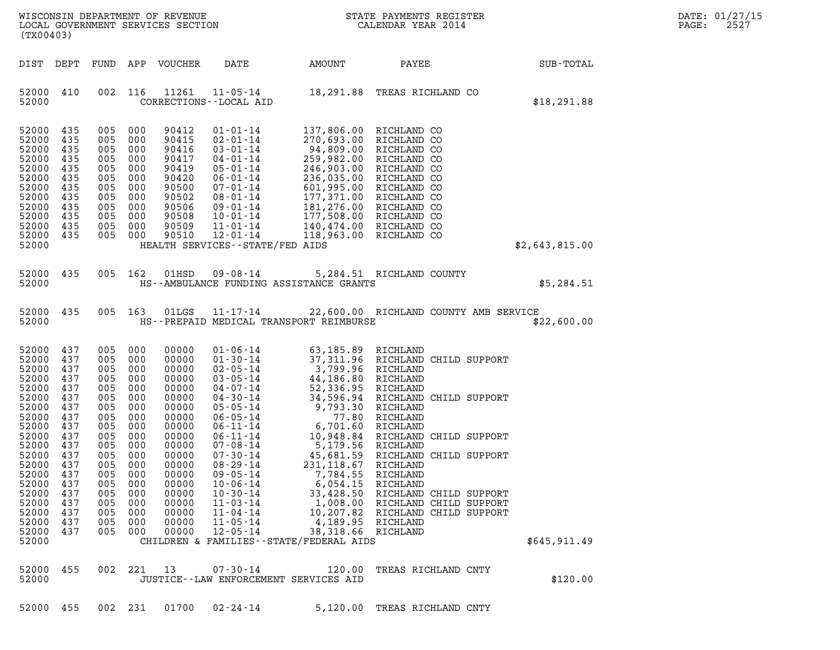| $\mathtt{DATE}$ : | 01/27/15 |
|-------------------|----------|
| PAGE:             | 2527     |

| $\mathbf N$<br>WISCONSIN DEPARTMENT OF REVENUE<br>LOCAL GOVERNMENT SERVICES SECTION<br>(TX00403)                                                                                          |                                                                                                                                          |                                                                                                                                          |                                                                                                                                          |                                                                                                                                                                                  |                                                                                                                                                                                                                                                                                                                                                    |                                                                                                                                                                                                                                                                                                       | STATE PAYMENTS REGISTER<br>CALENDAR YEAR 2014                                                                                                                                                                                                                                                                              |                | DATE: 01/27/15<br>2527<br>PAGE: |
|-------------------------------------------------------------------------------------------------------------------------------------------------------------------------------------------|------------------------------------------------------------------------------------------------------------------------------------------|------------------------------------------------------------------------------------------------------------------------------------------|------------------------------------------------------------------------------------------------------------------------------------------|----------------------------------------------------------------------------------------------------------------------------------------------------------------------------------|----------------------------------------------------------------------------------------------------------------------------------------------------------------------------------------------------------------------------------------------------------------------------------------------------------------------------------------------------|-------------------------------------------------------------------------------------------------------------------------------------------------------------------------------------------------------------------------------------------------------------------------------------------------------|----------------------------------------------------------------------------------------------------------------------------------------------------------------------------------------------------------------------------------------------------------------------------------------------------------------------------|----------------|---------------------------------|
| DIST DEPT                                                                                                                                                                                 |                                                                                                                                          | FUND                                                                                                                                     |                                                                                                                                          | APP VOUCHER                                                                                                                                                                      | DATE                                                                                                                                                                                                                                                                                                                                               | AMOUNT                                                                                                                                                                                                                                                                                                | PAYEE                                                                                                                                                                                                                                                                                                                      | SUB-TOTAL      |                                 |
| 52000 410<br>52000                                                                                                                                                                        |                                                                                                                                          | 002                                                                                                                                      | 116                                                                                                                                      | 11261                                                                                                                                                                            | $11 - 05 - 14$<br>CORRECTIONS - - LOCAL AID                                                                                                                                                                                                                                                                                                        |                                                                                                                                                                                                                                                                                                       | 18,291.88 TREAS RICHLAND CO                                                                                                                                                                                                                                                                                                | \$18, 291.88   |                                 |
| 52000<br>52000<br>52000<br>52000<br>52000<br>52000<br>52000<br>52000<br>52000<br>52000<br>52000<br>52000<br>52000                                                                         | 435<br>435<br>435<br>435<br>435<br>435<br>435<br>435<br>435<br>435<br>435<br>435                                                         | 005<br>005<br>005<br>005<br>005<br>005<br>005<br>005<br>005<br>005<br>005<br>005                                                         | 000<br>000<br>000<br>000<br>000<br>000<br>000<br>000<br>000<br>000<br>000<br>000                                                         | 90412<br>90415<br>90416<br>90417<br>90419<br>90420<br>90500<br>90502<br>90506<br>90508<br>90509<br>90510                                                                         | $01 - 01 - 14$<br>$02 - 01 - 14$<br>$03 - 01 - 14$<br>04-01-14<br>$05 - 01 - 14$<br>$06 - 01 - 14$<br>07-01-14<br>08-01-14<br>09-01-14<br>$10 - 01 - 14$<br>$11 - 01 - 14$<br>$12 - 01 - 14$<br>HEALTH SERVICES - - STATE/FED AIDS                                                                                                                 | 259,982.00<br>246,903.00<br>236,035.00<br>601,995.00<br>177,371.00<br>118,963.00                                                                                                                                                                                                                      | 137,806.00 RICHLAND CO<br>270,693.00 RICHLAND CO<br>94,809.00 RICHLAND CO<br>RICHLAND CO<br>RICHLAND CO<br>RICHLAND CO<br>RICHLAND CO<br>RICHLAND CO<br>181,276.00 RICHLAND CO<br>177,508.00 RICHLAND CO<br>140,474.00 RICHLAND CO<br>RICHLAND CO                                                                          | \$2,643,815.00 |                                 |
| 52000                                                                                                                                                                                     | 435                                                                                                                                      | 005 162                                                                                                                                  |                                                                                                                                          | 01HSD                                                                                                                                                                            | 09-08-14                                                                                                                                                                                                                                                                                                                                           |                                                                                                                                                                                                                                                                                                       | 5,284.51 RICHLAND COUNTY                                                                                                                                                                                                                                                                                                   |                |                                 |
| 52000                                                                                                                                                                                     |                                                                                                                                          |                                                                                                                                          |                                                                                                                                          |                                                                                                                                                                                  |                                                                                                                                                                                                                                                                                                                                                    | HS--AMBULANCE FUNDING ASSISTANCE GRANTS                                                                                                                                                                                                                                                               |                                                                                                                                                                                                                                                                                                                            | \$5,284.51     |                                 |
| 52000<br>52000                                                                                                                                                                            | 435                                                                                                                                      | 005 163                                                                                                                                  |                                                                                                                                          | 01LGS                                                                                                                                                                            | $11 - 17 - 14$                                                                                                                                                                                                                                                                                                                                     | HS--PREPAID MEDICAL TRANSPORT REIMBURSE                                                                                                                                                                                                                                                               | 22,600.00 RICHLAND COUNTY AMB SERVICE                                                                                                                                                                                                                                                                                      | \$22,600.00    |                                 |
| 52000<br>52000<br>52000<br>52000<br>52000<br>52000<br>52000<br>52000<br>52000<br>52000<br>52000<br>52000<br>52000<br>52000<br>52000<br>52000<br>52000<br>52000<br>52000<br>52000<br>52000 | 437<br>437<br>437<br>437<br>437<br>437<br>437<br>437<br>437<br>437<br>437<br>437<br>437<br>437<br>437<br>437<br>437<br>437<br>437<br>437 | 005<br>005<br>005<br>005<br>005<br>005<br>005<br>005<br>005<br>005<br>005<br>005<br>005<br>005<br>005<br>005<br>005<br>005<br>005<br>005 | 000<br>000<br>000<br>000<br>000<br>000<br>000<br>000<br>000<br>000<br>000<br>000<br>000<br>000<br>000<br>000<br>000<br>000<br>000<br>000 | 00000<br>00000<br>00000<br>00000<br>00000<br>00000<br>00000<br>00000<br>00000<br>00000<br>00000<br>00000<br>00000<br>00000<br>00000<br>00000<br>00000<br>00000<br>00000<br>00000 | $01 - 06 - 14$<br>$01 - 30 - 14$<br>$02 - 05 - 14$<br>$03 - 05 - 14$<br>04-07-14<br>04-30-14<br>$05 - 05 - 14$<br>$06 - 05 - 14$<br>$06 - 11 - 14$<br>06-11-14<br>$07 - 08 - 14$<br>$07 - 30 - 14$<br>$08 - 29 - 14$<br>$09 - 05 - 14$<br>$10 - 06 - 14$<br>$10 - 30 - 14$<br>$11 - 03 - 14$<br>$11 - 04 - 14$<br>$11 - 05 - 14$<br>$12 - 05 - 14$ | 63,185.89 RICHLAND<br>3,799.96 RICHLAND<br>44,186.80 RICHLAND<br>52,336.95<br>34,596.94<br>9,793.30<br>6,701.60<br>10,948.84<br>5,179.56<br>45,681.59<br>231,118.67<br>7,784.55<br>6,054.15<br>33,428.50<br>1,008.00<br>10,207.82<br>4,189.95<br>38,318.66<br>CHILDREN & FAMILIES--STATE/FEDERAL AIDS | 37,311.96 RICHLAND CHILD SUPPORT<br>RICHLAND<br>RICHLAND CHILD SUPPORT<br>RICHLAND<br>77.80 RICHLAND<br>RICHLAND<br>RICHLAND CHILD SUPPORT<br>RICHLAND<br>RICHLAND CHILD SUPPORT<br>RICHLAND<br>RICHLAND<br>RICHLAND<br>RICHLAND CHILD SUPPORT<br>RICHLAND CHILD SUPPORT<br>RICHLAND CHILD SUPPORT<br>RICHLAND<br>RICHLAND | \$645,911.49   |                                 |
| 52000<br>52000                                                                                                                                                                            | 455                                                                                                                                      | 002                                                                                                                                      | 221                                                                                                                                      | 13                                                                                                                                                                               | $07 - 30 - 14$<br>JUSTICE--LAW ENFORCEMENT SERVICES AID                                                                                                                                                                                                                                                                                            | 120.00                                                                                                                                                                                                                                                                                                | TREAS RICHLAND CNTY                                                                                                                                                                                                                                                                                                        | \$120.00       |                                 |

52000 455 002 231 01700 02-24-14 5,120.00 TREAS RICHLAND CNTY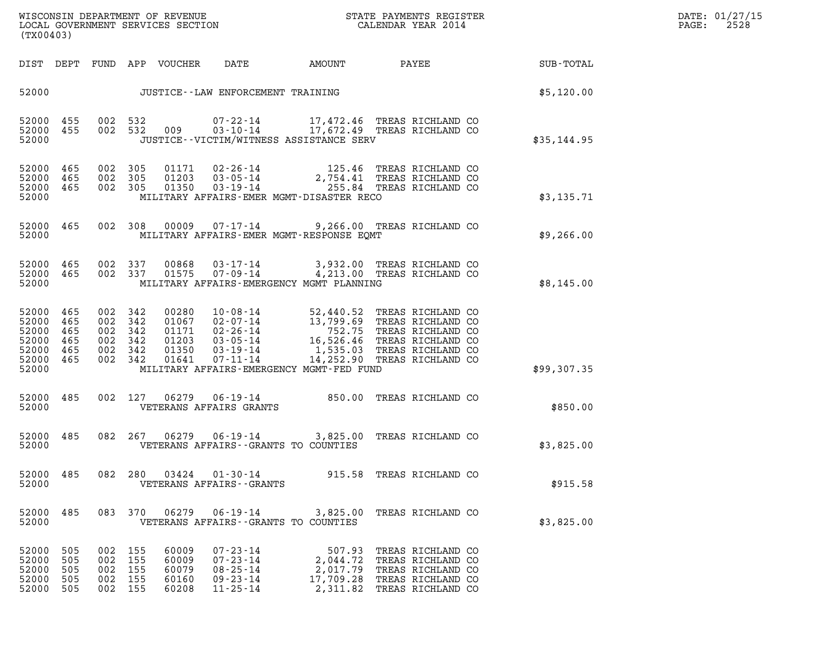| WISCONSIN DEPARTMENT OF REVENUE   | STATE PAYMENTS REGISTER | DATE: 01/27/15 |
|-----------------------------------|-------------------------|----------------|
| LOCAL GOVERNMENT SERVICES SECTION | CALENDAR YEAR 2014      | 2528<br>PAGE:  |

| (TX00403)                                                                                                                                             | WISCONSIN DEPARTMENT OF REVENUE<br>LOCAL GOVERNMENT SERVICES SECTION<br>(TWO 1403)                                                                                                                                                                                                 |                                                         |                                                                                                       | $\mathbf{E} \mathbf{R}$ | DATE: 01/27/15<br>$\mathtt{PAGE}$ :<br>2528 |
|-------------------------------------------------------------------------------------------------------------------------------------------------------|------------------------------------------------------------------------------------------------------------------------------------------------------------------------------------------------------------------------------------------------------------------------------------|---------------------------------------------------------|-------------------------------------------------------------------------------------------------------|-------------------------|---------------------------------------------|
|                                                                                                                                                       | DIST DEPT FUND APP VOUCHER DATE AMOUNT PAYEE                                                                                                                                                                                                                                       |                                                         |                                                                                                       | SUB-TOTAL               |                                             |
|                                                                                                                                                       | 52000 JUSTICE - LAW ENFORCEMENT TRAINING                                                                                                                                                                                                                                           |                                                         |                                                                                                       | \$5,120.00              |                                             |
| 52000 455 002 532<br>52000 455<br>52000                                                                                                               | 002 532 009 07-22-14 17,472.46 TREAS RICHLAND CO<br>002 532 009 03-10-14 17,672.49 TREAS RICHLAND CO<br>JUSTICE - - VICTIM/WITNESS ASSISTANCE SERV                                                                                                                                 |                                                         |                                                                                                       | \$35,144.95             |                                             |
| 52000 465<br>52000 465<br>52000 465<br>52000                                                                                                          | 002 305 01171 02-26-14 125.46 TREAS RICHLAND CO<br>002 305 01203 03-05-14 2,754.41 TREAS RICHLAND CO<br>002 305 01350 03-19-14 255.84 TREAS RICHLAND CO<br>MILITARY AFFAIRS-EMER MGMT-DISASTER RECO                                                                                |                                                         |                                                                                                       | \$3,135.71              |                                             |
| 52000 465                                                                                                                                             | 002 308 00009 07-17-14 9,266.00 TREAS RICHLAND CO<br>52000 MILITARY AFFAIRS-EMER MGMT-RESPONSE EQMT                                                                                                                                                                                |                                                         |                                                                                                       | \$9,266.00              |                                             |
|                                                                                                                                                       | 52000 465 002 337 00868 03-17-14 3,932.00 TREAS RICHLAND CO<br>52000 465 002 337 01575 07-09-14 4,213.00 TREAS RICHLAND CO<br>52000 MILITARY AFFAIRS-EMERGENCY MGMT PLANNING                                                                                                       |                                                         |                                                                                                       | \$8,145.00              |                                             |
| 52000 465<br>002 342<br>52000 465<br>002 342<br>002 342<br>52000 465<br>52000 465<br>002 342<br>52000 465<br>002 342<br>52000 465<br>002 342<br>52000 | 00280  10-08-14  52,440.52  TREAS RICHLAND CO<br>01067  02-07-14  13,799.69  TREAS RICHLAND CO<br>01171  02-26-14  752.75  TREAS RICHLAND CO<br>01203  03-05-14  16,526.46  TREAS RICHLAND CO<br>01350  03-19-14  1,535.03  TREAS RICH<br>MILITARY AFFAIRS-EMERGENCY MGMT-FED FUND |                                                         |                                                                                                       | \$99,307.35             |                                             |
| 52000 485<br>52000                                                                                                                                    | 002 127 06279 06-19-14 850.00 TREAS RICHLAND CO<br>VETERANS AFFAIRS GRANTS                                                                                                                                                                                                         |                                                         |                                                                                                       | \$850.00                |                                             |
| 52000 485<br>52000                                                                                                                                    | 082  267  06279  06-19-14  3,825.00  TREAS RICHLAND CO<br>VETERANS AFFAIRS--GRANTS TO COUNTIES                                                                                                                                                                                     |                                                         |                                                                                                       | \$3,825.00              |                                             |
| 52000 485<br>082 280<br>52000                                                                                                                         | $03424$ $01-30-14$<br>VETERANS AFFAIRS - - GRANTS                                                                                                                                                                                                                                  |                                                         | 915.58 TREAS RICHLAND CO                                                                              | \$915.58                |                                             |
| 52000 485<br>52000                                                                                                                                    | 083 370 06279 06-19-14 3,825.00 TREAS RICHLAND CO<br>VETERANS AFFAIRS -- GRANTS TO COUNTIES                                                                                                                                                                                        |                                                         |                                                                                                       | \$3,825.00              |                                             |
| 52000 505<br>002 155<br>52000<br>505<br>002 155<br>52000<br>505<br>002 155<br>52000<br>505<br>002 155<br>52000 505<br>002 155                         | $07 - 23 - 14$<br>60009<br>$07 - 23 - 14$<br>60009<br>$08 - 25 - 14$<br>60079<br>$09 - 23 - 14$<br>60160<br>$11 - 25 - 14$<br>60208                                                                                                                                                | 507.93<br>2,044.72<br>2,017.79<br>17,709.28<br>2,311.82 | TREAS RICHLAND CO<br>TREAS RICHLAND CO<br>TREAS RICHLAND CO<br>TREAS RICHLAND CO<br>TREAS RICHLAND CO |                         |                                             |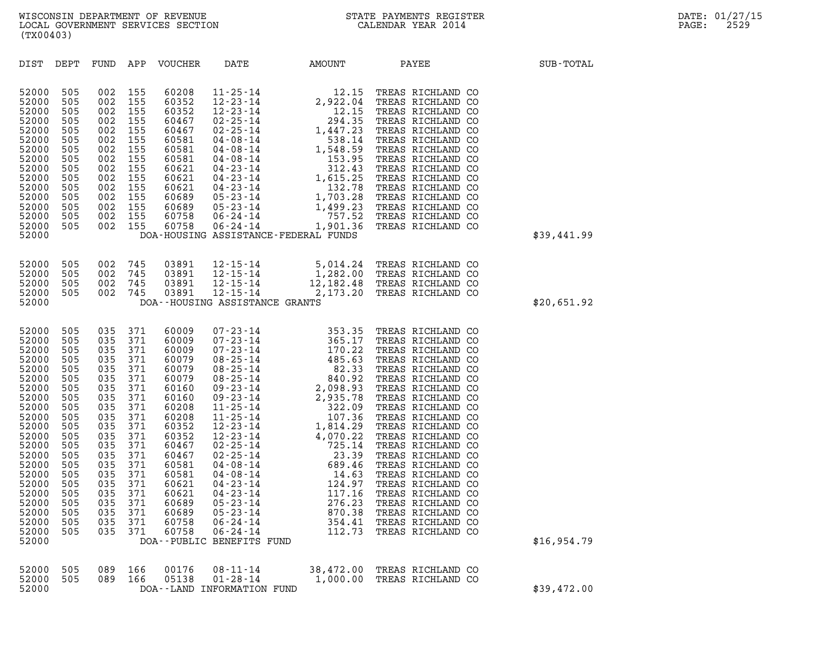| (TX00403)                                                                                                                                                                                                   |                                                                                                                                                        |                                                                                                                                                        |                                                                                                                                                        |                                                                                                                                                                                                    |                                                                                 |                            |                                                                                                                                                                                                                                                                                                                                                                                                     |                  |
|-------------------------------------------------------------------------------------------------------------------------------------------------------------------------------------------------------------|--------------------------------------------------------------------------------------------------------------------------------------------------------|--------------------------------------------------------------------------------------------------------------------------------------------------------|--------------------------------------------------------------------------------------------------------------------------------------------------------|----------------------------------------------------------------------------------------------------------------------------------------------------------------------------------------------------|---------------------------------------------------------------------------------|----------------------------|-----------------------------------------------------------------------------------------------------------------------------------------------------------------------------------------------------------------------------------------------------------------------------------------------------------------------------------------------------------------------------------------------------|------------------|
| DIST                                                                                                                                                                                                        | DEPT                                                                                                                                                   | FUND APP                                                                                                                                               |                                                                                                                                                        | VOUCHER                                                                                                                                                                                            | DATE                                                                            | AMOUNT                     | PAYEE                                                                                                                                                                                                                                                                                                                                                                                               | <b>SUB-TOTAL</b> |
| 52000<br>52000<br>52000<br>52000<br>52000<br>52000<br>52000<br>52000<br>52000<br>52000<br>52000<br>52000<br>52000<br>52000<br>52000<br>52000                                                                | 505<br>505<br>505<br>505<br>505<br>505<br>505<br>505<br>505<br>505<br>505<br>505<br>505<br>505<br>505                                                  | 002<br>002<br>002<br>002<br>002<br>002<br>002<br>002<br>002<br>002<br>002<br>002<br>002<br>002<br>002                                                  | 155<br>155<br>155<br>155<br>155<br>155<br>155<br>155<br>155<br>155<br>155<br>155<br>155<br>155<br>155                                                  | 60208<br>60352<br>60352<br>60467<br>60467<br>60581<br>60581<br>60581<br>60621<br>60621<br>60621<br>60689<br>60689<br>60758<br>60758                                                                | DOA-HOUSING ASSISTANCE-FEDERAL FUNDS                                            |                            | $\begin{tabular}{l c c c c c c c} $11\text{-}25\text{-}14$ & $12\text{-}15$ & TREAS RICHLAND CO \\ $12\text{-}23\text{-}14$ & $2,922\text{-}04$ & TREAS RICHLAND CO \\ $12\text{-}25\text{-}14$ & $12\text{-}15$ & TREAS RICHLAND CO \\ $02\text{-}25\text{-}14$ & $1,447\text{-}23$ & TREAS RICHLAND CO \\ $04\text{-}08\text{-}14$ & $1,447\text{-}23$ & TREAS RICHLAND CO \\ $04\text{-}08\text$ | \$39,441.99      |
| 52000<br>52000<br>52000<br>52000<br>52000                                                                                                                                                                   | 505<br>505<br>505<br>505                                                                                                                               | 002<br>002<br>002<br>002                                                                                                                               | 745<br>745<br>745<br>745                                                                                                                               | 03891<br>03891<br>03891<br>03891                                                                                                                                                                   | DOA--HOUSING ASSISTANCE GRANTS                                                  |                            | 12-15-14 5,014.24 TREAS RICHLAND CO<br>12-15-14 1,282.00 TREAS RICHLAND CO<br>12-15-14 12,182.48 TREAS RICHLAND CO<br>12-15-14 2,173.20 TREAS RICHLAND CO                                                                                                                                                                                                                                           | \$20,651.92      |
| 52000<br>52000<br>52000<br>52000<br>52000<br>52000<br>52000<br>52000<br>52000<br>52000<br>52000<br>52000<br>52000<br>52000<br>52000<br>52000<br>52000<br>52000<br>52000<br>52000<br>52000<br>52000<br>52000 | 505<br>505<br>505<br>505<br>505<br>505<br>505<br>505<br>505<br>505<br>505<br>505<br>505<br>505<br>505<br>505<br>505<br>505<br>505<br>505<br>505<br>505 | 035<br>035<br>035<br>035<br>035<br>035<br>035<br>035<br>035<br>035<br>035<br>035<br>035<br>035<br>035<br>035<br>035<br>035<br>035<br>035<br>035<br>035 | 371<br>371<br>371<br>371<br>371<br>371<br>371<br>371<br>371<br>371<br>371<br>371<br>371<br>371<br>371<br>371<br>371<br>371<br>371<br>371<br>371<br>371 | 60009<br>60009<br>60009<br>60079<br>60079<br>60079<br>60160<br>60160<br>60208<br>60208<br>60352<br>60352<br>60467<br>60467<br>60581<br>60581<br>60621<br>60621<br>60689<br>60689<br>60758<br>60758 | $05 - 23 - 14$<br>$06 - 24 - 14$<br>$06 - 24 - 14$<br>DOA--PUBLIC BENEFITS FUND | 870.38<br>354.41<br>112.73 | TREAS RICHLAND CO<br>TREAS RICHLAND CO<br>TREAS RICHLAND CO                                                                                                                                                                                                                                                                                                                                         | \$16,954.79      |
| 52000<br>52000<br>52000                                                                                                                                                                                     | 505<br>505                                                                                                                                             | 089<br>089                                                                                                                                             | 166<br>166                                                                                                                                             | 00176<br>05138                                                                                                                                                                                     | $08 - 11 - 14$<br>$01 - 28 - 14$<br>DOA--LAND INFORMATION FUND                  | 38,472.00<br>1,000.00      | TREAS RICHLAND CO<br>TREAS RICHLAND CO                                                                                                                                                                                                                                                                                                                                                              | \$39,472.00      |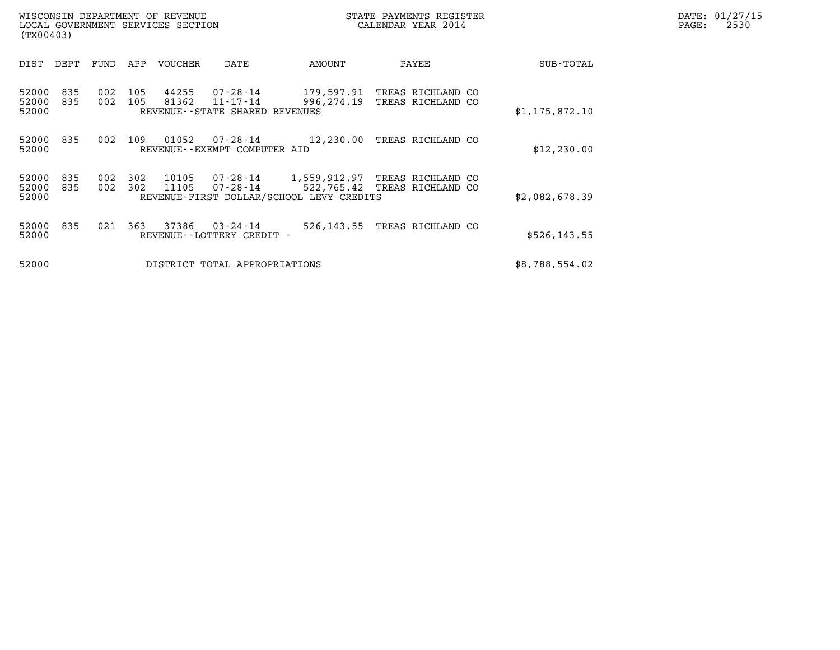| (TX00403)               |            |            |            | WISCONSIN DEPARTMENT OF REVENUE<br>LOCAL GOVERNMENT SERVICES SECTION |                                                        |                                                                                        | STATE PAYMENTS REGISTER<br>CALENDAR YEAR 2014     |  | DATE: 01/27/15<br>PAGE:<br>2530 |  |
|-------------------------|------------|------------|------------|----------------------------------------------------------------------|--------------------------------------------------------|----------------------------------------------------------------------------------------|---------------------------------------------------|--|---------------------------------|--|
| DIST                    | DEPT       | FUND       | APP        | VOUCHER                                                              | DATE                                                   | AMOUNT                                                                                 | PAYEE                                             |  | SUB-TOTAL                       |  |
| 52000<br>52000<br>52000 | 835<br>835 | 002<br>002 | 105<br>105 | 44255<br>81362                                                       | 07-28-14<br>11-17-14<br>REVENUE--STATE SHARED REVENUES | 996,274.19                                                                             | 179,597.91 TREAS RICHLAND CO<br>TREAS RICHLAND CO |  | \$1,175,872.10                  |  |
| 52000 835<br>52000      |            | 002        | 109        | 01052                                                                | 07-28-14<br>REVENUE--EXEMPT COMPUTER AID               | 12,230.00                                                                              | TREAS RICHLAND CO                                 |  | \$12, 230.00                    |  |
| 52000<br>52000<br>52000 | 835<br>835 | 002<br>002 | 302<br>302 | 10105<br>11105                                                       | $07 - 28 - 14$                                         | 07-28-14    1,559,912.97 TREAS RICHLAND CO<br>REVENUE-FIRST DOLLAR/SCHOOL LEVY CREDITS | 522,765.42 TREAS RICHLAND CO                      |  | \$2,082,678.39                  |  |
| 52000<br>52000          | 835        | 021        | 363        | 37386                                                                | 03-24-14<br>REVENUE--LOTTERY CREDIT -                  | 526,143.55                                                                             | TREAS RICHLAND CO                                 |  | \$526, 143.55                   |  |
| 52000                   |            |            |            |                                                                      | DISTRICT TOTAL APPROPRIATIONS                          |                                                                                        |                                                   |  | \$8,788,554.02                  |  |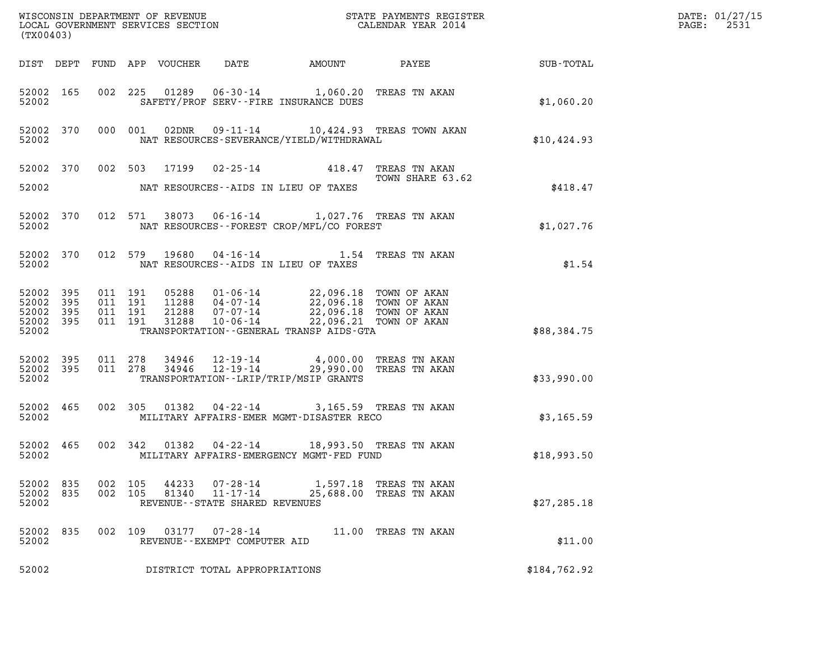| (TX00403)                                                 |           |                    |                                          |                                 |                                                                 |                                                                                                                                                                                                                                                   |                                                                                                              |              | DATE: 01/27/15<br>2531<br>$\mathtt{PAGE:}$ |
|-----------------------------------------------------------|-----------|--------------------|------------------------------------------|---------------------------------|-----------------------------------------------------------------|---------------------------------------------------------------------------------------------------------------------------------------------------------------------------------------------------------------------------------------------------|--------------------------------------------------------------------------------------------------------------|--------------|--------------------------------------------|
|                                                           |           |                    |                                          | DIST DEPT FUND APP VOUCHER DATE |                                                                 |                                                                                                                                                                                                                                                   |                                                                                                              |              |                                            |
| 52002                                                     | 52002 165 |                    |                                          |                                 |                                                                 | 002 225 01289 06-30-14 1,060.20 TREAS TN AKAN<br>SAFETY/PROF SERV--FIRE INSURANCE DUES                                                                                                                                                            |                                                                                                              | \$1,060.20   |                                            |
| 52002                                                     | 52002 370 |                    | 000 001                                  |                                 |                                                                 | NAT RESOURCES-SEVERANCE/YIELD/WITHDRAWAL                                                                                                                                                                                                          | 02DNR  09-11-14  10,424.93  TREAS TOWN AKAN                                                                  | \$10, 424.93 |                                            |
| 52002                                                     |           |                    |                                          |                                 |                                                                 | NAT RESOURCES--AIDS IN LIEU OF TAXES                                                                                                                                                                                                              | 52002 370 002 503 17199 02-25-14 418.47 TREAS TN AKAN $\frac{418.47}{20}$ TOWN SHARE 63.<br>TOWN SHARE 63.62 | \$418.47     |                                            |
| 52002                                                     | 52002 370 |                    |                                          |                                 |                                                                 | 012 571 38073 06-16-14 1,027.76 TREAS TN AKAN<br>NAT RESOURCES - - FOREST CROP/MFL/CO FOREST                                                                                                                                                      |                                                                                                              | \$1,027.76   |                                            |
| 52002                                                     | 52002 370 |                    |                                          |                                 | NAT RESOURCES--AIDS IN LIEU OF TAXES                            | 012 579 19680 04-16-14 1.54 TREAS TN AKAN                                                                                                                                                                                                         |                                                                                                              | \$1.54       |                                            |
| 52002 395<br>52002 395<br>52002 395<br>52002 395<br>52002 |           |                    | 011 191<br>011 191<br>011 191<br>011 191 |                                 |                                                                 | 05288  01-06-14  22,096.18  TOWN OF AKAN<br>11288  04-07-14  22,096.18  TOWN OF AKAN<br>21288  07-07-14  22,096.18  TOWN OF AKAN<br>31288  10-06-14  22,096.21  TOWN OF AKAN<br>TRANSPORTATION--GENERAL TRANSP AIDS-GTA                           |                                                                                                              | \$88,384.75  |                                            |
| 52002                                                     |           |                    |                                          |                                 |                                                                 | $\begin{array}{cccccc} 52002 & 395 & 011 & 278 & 34946 & 12-19-14 & & 4,000.00 & \text{TREAS TN AKAN} \\ 52002 & 395 & 011 & 278 & 34946 & 12-19-14 & & 29,990.00 & \text{TREAS TN AKAN} \end{array}$<br>TRANSPORTATION - - LRIP/TRIP/MSIP GRANTS |                                                                                                              | \$33,990.00  |                                            |
| 52002                                                     | 52002 465 |                    |                                          |                                 |                                                                 | 002 305 01382 04-22-14 3,165.59 TREAS TN AKAN<br>MILITARY AFFAIRS-EMER MGMT-DISASTER RECO                                                                                                                                                         |                                                                                                              | \$3,165.59   |                                            |
| 52002                                                     | 52002 465 |                    | 002 342                                  |                                 |                                                                 | 01382  04-22-14  18,993.50  TREAS TN AKAN<br>MILITARY AFFAIRS-EMERGENCY MGMT-FED FUND                                                                                                                                                             |                                                                                                              | \$18,993.50  |                                            |
| 52002<br>52002 835<br>52002                               | 835       | 002 105<br>002 105 |                                          | 44233<br>81340                  | 07-28-14<br>$11 - 17 - 14$<br>REVENUE - - STATE SHARED REVENUES |                                                                                                                                                                                                                                                   | 1,597.18 TREAS TN AKAN<br>25,688.00 TREAS TN AKAN                                                            | \$27, 285.18 |                                            |
| 52002<br>52002                                            | 835       | 002                | 109                                      | 03177                           | $07 - 28 - 14$<br>REVENUE--EXEMPT COMPUTER AID                  |                                                                                                                                                                                                                                                   | 11.00 TREAS TN AKAN                                                                                          | \$11.00      |                                            |
| 52002                                                     |           |                    |                                          |                                 | DISTRICT TOTAL APPROPRIATIONS                                   |                                                                                                                                                                                                                                                   |                                                                                                              | \$184,762.92 |                                            |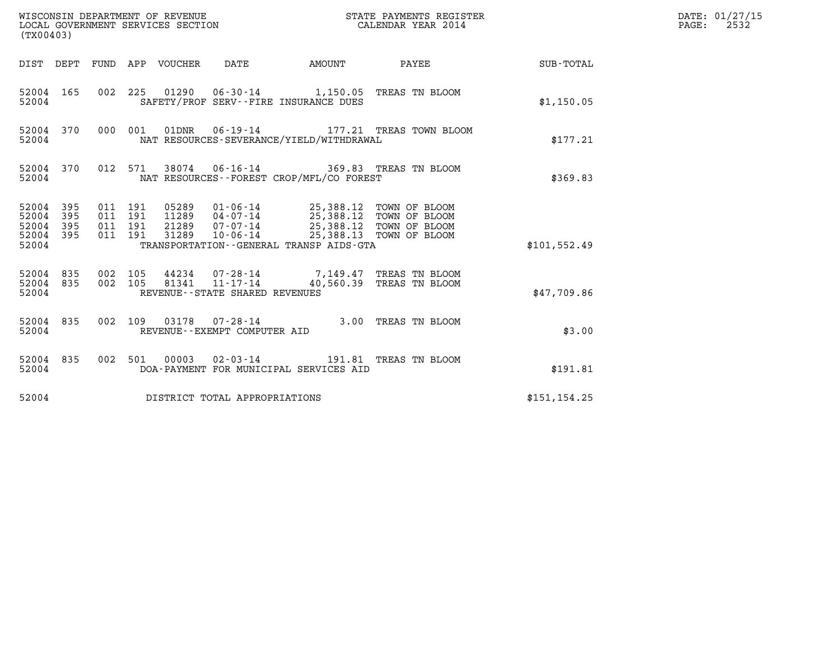| WISCONSIN DEPARTMENT OF REVENUE<br>LOCAL GOVERNMENT SERVICES SECTION<br>(TX00403) |            |                                          |         |                                 |                                   |                                                                                                                                                                                                  | STATE PAYMENTS REGISTER<br>CALENDAR YEAR 2014                                         |               | DATE: 01/27/15<br>$\mathtt{PAGE}$ :<br>2532 |
|-----------------------------------------------------------------------------------|------------|------------------------------------------|---------|---------------------------------|-----------------------------------|--------------------------------------------------------------------------------------------------------------------------------------------------------------------------------------------------|---------------------------------------------------------------------------------------|---------------|---------------------------------------------|
|                                                                                   |            |                                          |         | DIST DEPT FUND APP VOUCHER DATE |                                   | <b>AMOUNT</b>                                                                                                                                                                                    | <b>PAYEE</b>                                                                          | SUB-TOTAL     |                                             |
| 52004 165<br>52004                                                                |            |                                          |         |                                 |                                   | SAFETY/PROF SERV--FIRE INSURANCE DUES                                                                                                                                                            | 002 225 01290 06-30-14 1,150.05 TREAS TN BLOOM                                        | \$1,150.05    |                                             |
| 52004 370<br>52004                                                                |            |                                          | 000 001 |                                 |                                   | NAT RESOURCES-SEVERANCE/YIELD/WITHDRAWAL                                                                                                                                                         | 177.21 TREAS TOWN BLOOM                                                               | \$177.21      |                                             |
| 52004 370<br>52004                                                                |            | 012 571                                  |         |                                 |                                   | NAT RESOURCES - - FOREST CROP/MFL/CO FOREST                                                                                                                                                      | 38074  06-16-14  369.83  TREAS TN BLOOM                                               | \$369.83      |                                             |
| 52004 395<br>52004<br>52004<br>52004 395<br>52004                                 | 395<br>395 | 011 191<br>011 191<br>011 191<br>011 191 |         | 31289                           | 21289 07-07-14                    | 05289  01-06-14  25,388.12  TOWN OF BLOOM<br>11289  04-07-14  25,388.12  TOWN OF BLOOM<br>25,388.12 TOWN OF BLOOM<br>10-06-14 25,388.13 TOWN OF BLOOM<br>TRANSPORTATION--GENERAL TRANSP AIDS-GTA |                                                                                       | \$101,552.49  |                                             |
| 52004 835<br>52004 835<br>52004                                                   |            | 002 105<br>002 105                       |         |                                 | REVENUE - - STATE SHARED REVENUES |                                                                                                                                                                                                  | 44234  07-28-14  7,149.47 TREAS TN BLOOM<br>81341  11-17-14  40,560.39 TREAS TN BLOOM | \$47,709.86   |                                             |
| 52004 835<br>52004                                                                |            | 002 109                                  |         |                                 | REVENUE--EXEMPT COMPUTER AID      |                                                                                                                                                                                                  | 03178  07-28-14  3.00 TREAS TN BLOOM                                                  | \$3.00        |                                             |
| 52004 835<br>52004                                                                |            |                                          |         |                                 |                                   | DOA-PAYMENT FOR MUNICIPAL SERVICES AID                                                                                                                                                           | 002 501 00003 02-03-14 191.81 TREAS TN BLOOM                                          | \$191.81      |                                             |
| 52004                                                                             |            |                                          |         |                                 | DISTRICT TOTAL APPROPRIATIONS     |                                                                                                                                                                                                  |                                                                                       | \$151, 154.25 |                                             |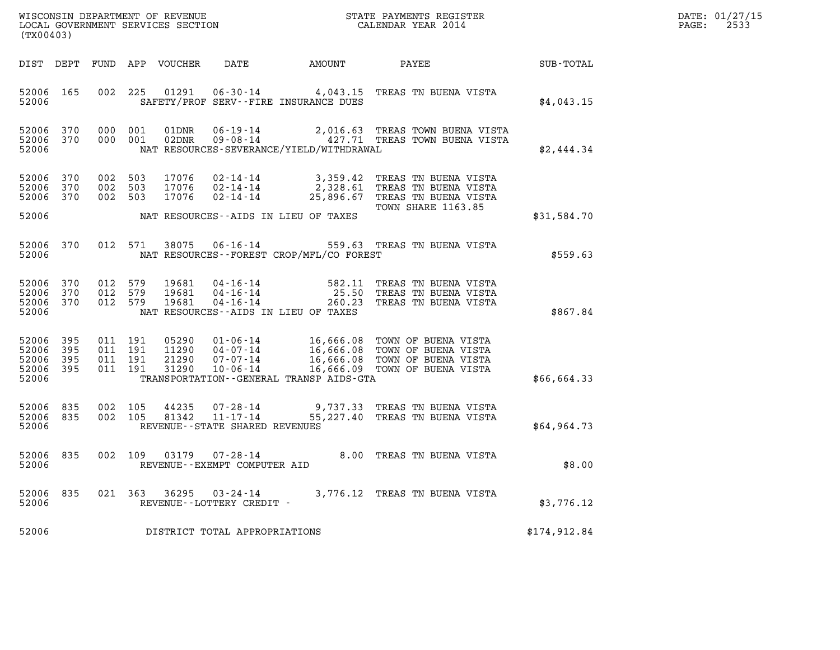| DATE: | 01/27/15 |
|-------|----------|
| PAGE: | 2533     |

| (TX00403)                                         |            |                               |         |                                  |                                                     |                                          |                                                                                                                                                                                                                                                                                        |                  | DATE: 01/27/15<br>$\mathtt{PAGE:}$<br>2533 |
|---------------------------------------------------|------------|-------------------------------|---------|----------------------------------|-----------------------------------------------------|------------------------------------------|----------------------------------------------------------------------------------------------------------------------------------------------------------------------------------------------------------------------------------------------------------------------------------------|------------------|--------------------------------------------|
|                                                   |            |                               |         | DIST DEPT FUND APP VOUCHER       | DATE                                                | AMOUNT                                   | PAYEE                                                                                                                                                                                                                                                                                  | <b>SUB-TOTAL</b> |                                            |
| 52006 165<br>52006                                |            |                               |         |                                  |                                                     | SAFETY/PROF SERV--FIRE INSURANCE DUES    | 002 225 01291 06-30-14 4,043.15 TREAS TN BUENA VISTA                                                                                                                                                                                                                                   | \$4,043.15       |                                            |
| 52006 370<br>52006                                | 52006 370  | 000 001<br>000 001            |         |                                  |                                                     | NAT RESOURCES-SEVERANCE/YIELD/WITHDRAWAL | $\begin{array}{cccc} \texttt{01DNR} & \texttt{06-19-14} & \texttt{2,016.63} & \texttt{TREAS} & \texttt{TOWN} & \texttt{BUENA} & \texttt{VISTA} \\ \texttt{02DNR} & \texttt{09-08-14} & \texttt{427.71} & \texttt{TREAS} & \texttt{TOWN} & \texttt{BUENA} & \texttt{VISTA} \end{array}$ | \$2,444.34       |                                            |
| 52006 370<br>52006 370<br>52006 370               |            | 002 503<br>002 503<br>002 503 |         | 17076<br>17076<br>17076          | $02 - 14 - 14$                                      |                                          | 25,896.67 TREAS TN BUENA VISTA<br><b>TOWN SHARE 1163.85</b>                                                                                                                                                                                                                            |                  |                                            |
| 52006                                             |            |                               |         |                                  |                                                     | NAT RESOURCES--AIDS IN LIEU OF TAXES     |                                                                                                                                                                                                                                                                                        | \$31,584.70      |                                            |
| 52006                                             | 52006 370  |                               | 012 571 |                                  |                                                     | NAT RESOURCES--FOREST CROP/MFL/CO FOREST | 38075  06-16-14  559.63  TREAS TN BUENA VISTA                                                                                                                                                                                                                                          | \$559.63         |                                            |
| 52006 370<br>52006<br>52006 370<br>52006          | 370        | 012 579<br>012 579<br>012 579 |         | 19681<br>19681<br>19681          |                                                     | NAT RESOURCES--AIDS IN LIEU OF TAXES     | 04-16-14 582.11 TREAS TN BUENA VISTA<br>04-16-14 25.50 TREAS TN BUENA VISTA<br>04-16-14 260.23 TREAS TN BUENA VISTA                                                                                                                                                                    | \$867.84         |                                            |
| 52006 395<br>52006<br>52006<br>52006 395<br>52006 | 395<br>395 | 011 191<br>011 191<br>011 191 | 011 191 | 05290<br>11290<br>21290<br>31290 |                                                     | TRANSPORTATION--GENERAL TRANSP AIDS-GTA  | 01-06-14 16,666.08 TOWN OF BUENA VISTA                                                                                                                                                                                                                                                 | \$66,664.33      |                                            |
| 52006 835<br>52006 835<br>52006                   |            | 002 105<br>002 105            |         | 44235<br>81342                   | 11-17-14<br>REVENUE - - STATE SHARED REVENUES       |                                          | 07-28-14 9,737.33 TREAS TN BUENA VISTA<br>55,227.40 TREAS TN BUENA VISTA                                                                                                                                                                                                               | \$64,964.73      |                                            |
| 52006 835<br>52006                                |            |                               | 002 109 |                                  | 03179 07-28-14<br>REVENUE--EXEMPT COMPUTER AID      |                                          | 8.00 TREAS TN BUENA VISTA                                                                                                                                                                                                                                                              | \$8.00           |                                            |
| 52006 835<br>52006                                |            |                               |         |                                  | 021 363 36295 03-24-14<br>REVENUE--LOTTERY CREDIT - |                                          | 3,776.12 TREAS TN BUENA VISTA                                                                                                                                                                                                                                                          | \$3,776.12       |                                            |
| 52006                                             |            |                               |         |                                  | DISTRICT TOTAL APPROPRIATIONS                       |                                          |                                                                                                                                                                                                                                                                                        | \$174,912.84     |                                            |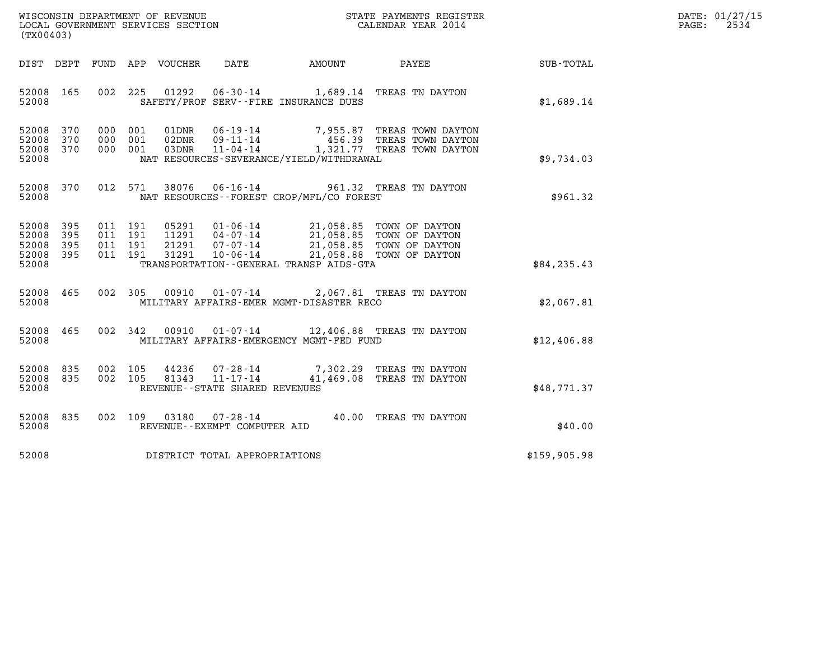| WISCONSIN DEPARTMENT OF REVENUE   | STATE PAYMENTS REGISTER | DATE: 01/27/15 |
|-----------------------------------|-------------------------|----------------|
| LOCAL GOVERNMENT SERVICES SECTION | CALENDAR YEAR 2014      | 2534<br>PAGE:  |

| (TX00403)                                                                                  | LOCAL GOVERNMENT SERVICES SECTION                                                                                                                                             | CALENDAR YEAR 2014                                                                                           |              |
|--------------------------------------------------------------------------------------------|-------------------------------------------------------------------------------------------------------------------------------------------------------------------------------|--------------------------------------------------------------------------------------------------------------|--------------|
| DEPT<br>FUND<br>DIST                                                                       | APP VOUCHER<br>DATE                                                                                                                                                           | PAYEE<br><b>AMOUNT</b>                                                                                       | SUB-TOTAL    |
| 52008<br>165<br>52008                                                                      | 002 225<br>01292<br>SAFETY/PROF SERV--FIRE INSURANCE DUES                                                                                                                     | 06-30-14 1,689.14 TREAS TN DAYTON                                                                            | \$1,689.14   |
| 52008<br>370<br>000<br>370<br>000<br>52008<br>52008<br>370<br>000<br>52008                 | 001<br>01DNR<br>$06 - 19 - 14$<br>001<br>09 - 11 - 14<br>11 - 04 - 14<br>02DNR<br>001<br>03DNR<br>NAT RESOURCES-SEVERANCE/YIELD/WITHDRAWAL                                    | 7,955.87<br>TREAS TOWN DAYTON<br>456.39 TREAS TOWN DAYTON<br>1,321.77 TREAS TOWN DAYTON                      | \$9,734.03   |
| 52008<br>370<br>52008                                                                      | 012 571<br>38076<br>NAT RESOURCES - - FOREST CROP/MFL/CO FOREST                                                                                                               | 06-16-14 961.32 TREAS TN DAYTON                                                                              | \$961.32     |
| 52008<br>395<br>395<br>52008<br>011<br>395<br>011<br>52008<br>011<br>52008<br>395<br>52008 | 011 191<br>05291<br>$01 - 06 - 14$<br>191<br>11291  04-07-14<br>21291<br>191<br>$07 - 07 - 14$<br>191<br>31291<br>$10 - 06 - 14$<br>TRANSPORTATION -- GENERAL TRANSP AIDS-GTA | 21,058.85 TOWN OF DAYTON<br>21,058.85 TOWN OF DAYTON<br>21,058.85 TOWN OF DAYTON<br>21,058.88 TOWN OF DAYTON | \$84, 235.43 |
| 465<br>002<br>52008<br>52008                                                               | 305<br>00910<br>$01 - 07 - 14$<br>MILITARY AFFAIRS-EMER MGMT-DISASTER RECO                                                                                                    | 2,067.81 TREAS TN DAYTON                                                                                     | \$2,067.81   |
| 465<br>002<br>52008<br>52008                                                               | 342<br>00910<br>MILITARY AFFAIRS-EMERGENCY MGMT-FED FUND                                                                                                                      | 01-07-14 12,406.88 TREAS TN DAYTON                                                                           | \$12,406.88  |
| 835<br>002<br>52008<br>835<br>002<br>52008<br>52008                                        | 105<br>44236<br>07-28-14<br>105<br>81343<br>REVENUE--STATE SHARED REVENUES                                                                                                    | 7,302.29 TREAS TN DAYTON<br>11-17-14 41,469.08 TREAS TN DAYTON                                               | \$48,771.37  |
| 52008<br>835<br>002<br>52008                                                               | 109<br>03180<br>$07 - 28 - 14$<br>REVENUE--EXEMPT COMPUTER AID                                                                                                                | 40.00<br>TREAS TN DAYTON                                                                                     | \$40.00      |
| 52008                                                                                      | DISTRICT TOTAL APPROPRIATIONS                                                                                                                                                 |                                                                                                              | \$159,905.98 |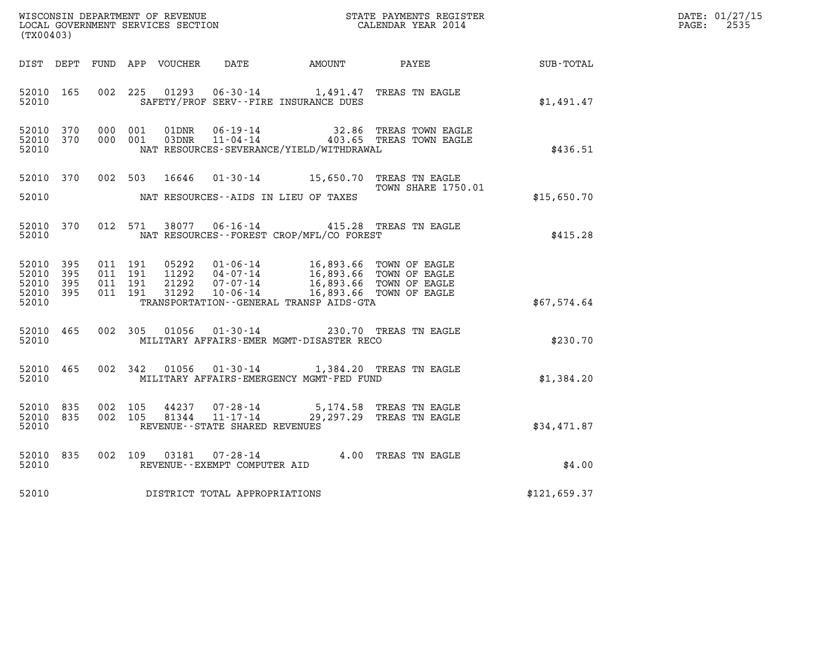| (TX00403)                                             |     |                                          |         |                            |                                                                 |                                                                                | WISCONSIN DEPARTMENT OF REVENUE<br>LOCAL GOVERNMENT SERVICES SECTION<br>LOCAL GOVERNMENT SERVICES SECTION<br>CALENDAR YEAR 2014 |              | DATE: 01/27/15<br>$\mathtt{PAGE:}$<br>2535 |
|-------------------------------------------------------|-----|------------------------------------------|---------|----------------------------|-----------------------------------------------------------------|--------------------------------------------------------------------------------|---------------------------------------------------------------------------------------------------------------------------------|--------------|--------------------------------------------|
|                                                       |     |                                          |         | DIST DEPT FUND APP VOUCHER | DATE                                                            | <b>AMOUNT</b>                                                                  | PAYEE                                                                                                                           | SUB-TOTAL    |                                            |
| 52010 165<br>52010                                    |     | 002 225                                  |         | 01293                      |                                                                 | 06-30-14 1,491.47 TREAS TN EAGLE<br>SAFETY/PROF SERV--FIRE INSURANCE DUES      |                                                                                                                                 | \$1,491.47   |                                            |
| 52010 370<br>52010 370<br>52010                       |     | 000 001<br>000 001                       |         |                            |                                                                 | NAT RESOURCES-SEVERANCE/YIELD/WITHDRAWAL                                       | 01DNR  06-19-14  32.86 TREAS TOWN EAGLE<br>03DNR  11-04-14  403.65 TREAS TOWN EAGLE                                             | \$436.51     |                                            |
| 52010 370<br>52010                                    |     |                                          |         | 002 503 16646              |                                                                 | 01-30-14 15,650.70 TREAS TN EAGLE<br>NAT RESOURCES--AIDS IN LIEU OF TAXES      | <b>TOWN SHARE 1750.01</b>                                                                                                       | \$15,650.70  |                                            |
| 52010 370<br>52010                                    |     |                                          | 012 571 | 38077                      |                                                                 | 06-16-14 415.28 TREAS TN EAGLE<br>NAT RESOURCES--FOREST CROP/MFL/CO FOREST     |                                                                                                                                 | \$415.28     |                                            |
| 52010 395<br>52010<br>52010 395<br>52010 395<br>52010 | 395 | 011 191<br>011 191<br>011 191<br>011 191 |         | 05292<br>21292<br>31292    | 01-06-14<br>11292  04 - 07 - 14<br>$07 - 07 - 14$               | 10-06-14 16,893.66 TOWN OF EAGLE<br>TRANSPORTATION - - GENERAL TRANSP AIDS-GTA | 16,893.66 TOWN OF EAGLE<br>16,893.66 TOWN OF EAGLE<br>16,893.66 TOWN OF EAGLE                                                   | \$67,574.64  |                                            |
| 52010 465<br>52010                                    |     |                                          | 002 305 | 01056                      | $01 - 30 - 14$                                                  | MILITARY AFFAIRS-EMER MGMT-DISASTER RECO                                       | 230.70 TREAS TN EAGLE                                                                                                           | \$230.70     |                                            |
| 52010 465<br>52010                                    |     |                                          | 002 342 | 01056                      |                                                                 | 01-30-14 1,384.20 TREAS TN EAGLE<br>MILITARY AFFAIRS-EMERGENCY MGMT-FED FUND   |                                                                                                                                 | \$1,384.20   |                                            |
| 52010<br>52010 835<br>52010                           | 835 | 002 105<br>002 105                       |         | 44237<br>81344             | 07-28-14<br>$11 - 17 - 14$<br>REVENUE - - STATE SHARED REVENUES |                                                                                | 5,174.58 TREAS TN EAGLE<br>29,297.29 TREAS TN EAGLE                                                                             | \$34,471.87  |                                            |
| 52010<br>52010                                        | 835 | 002 109                                  |         | 03181                      | REVENUE--EXEMPT COMPUTER AID                                    | 07-28-14 4.00 TREAS TN EAGLE                                                   |                                                                                                                                 | \$4.00       |                                            |
| 52010                                                 |     |                                          |         |                            | DISTRICT TOTAL APPROPRIATIONS                                   |                                                                                |                                                                                                                                 | \$121,659.37 |                                            |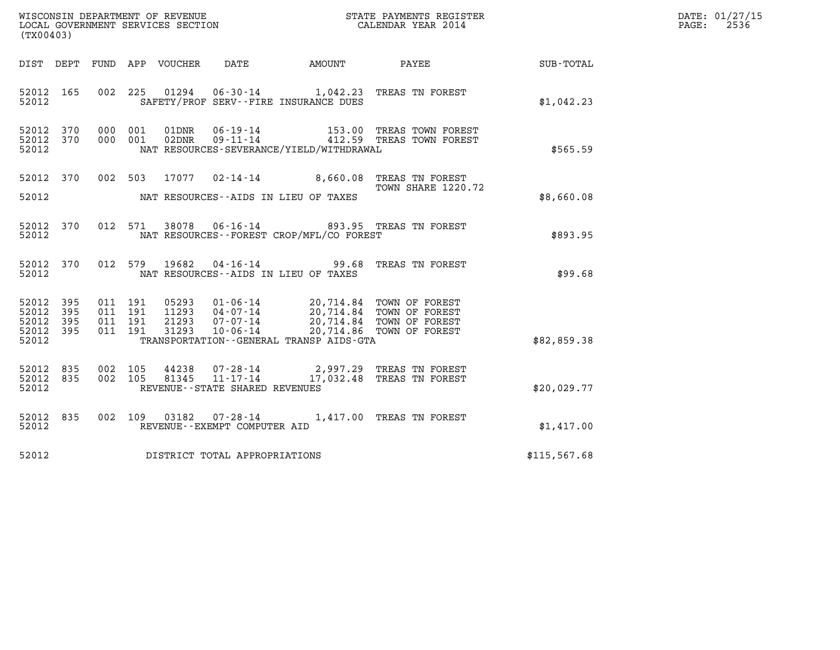| DATE: | 01/27/15 |
|-------|----------|
| PAGE: | 2536     |

| (TX00403)                                             |     |                                          |                                                                                                                                                                                                |                                   |                                                      |                 | DATE: 01/27/15<br>$\mathtt{PAGE:}$<br>2536 |
|-------------------------------------------------------|-----|------------------------------------------|------------------------------------------------------------------------------------------------------------------------------------------------------------------------------------------------|-----------------------------------|------------------------------------------------------|-----------------|--------------------------------------------|
|                                                       |     | DIST DEPT FUND APP VOUCHER               | DATE                                                                                                                                                                                           | <b>AMOUNT</b>                     |                                                      | PAYEE SUB-TOTAL |                                            |
| 52012 165<br>52012                                    |     | 002 225                                  | 01294<br>SAFETY/PROF SERV--FIRE INSURANCE DUES                                                                                                                                                 | 06-30-14 1,042.23 TREAS TN FOREST |                                                      | \$1,042.23      |                                            |
| 52012 370<br>52012 370<br>52012                       |     | 000 001<br>000 001                       | 01DNR<br>$06 - 19 - 14$<br>02DNR<br>$09 - 11 - 14$<br>NAT RESOURCES-SEVERANCE/YIELD/WITHDRAWAL                                                                                                 |                                   | 153.00 TREAS TOWN FOREST<br>412.59 TREAS TOWN FOREST | \$565.59        |                                            |
| 52012 370<br>52012                                    |     | 002 503                                  | 17077  02-14-14  8,660.08  TREAS TN FOREST<br>NAT RESOURCES--AIDS IN LIEU OF TAXES                                                                                                             |                                   | TOWN SHARE 1220.72                                   | \$8,660.08      |                                            |
| 52012 370<br>52012                                    |     | 012 571                                  | 38078  06-16-14  893.95  TREAS TN FOREST<br>NAT RESOURCES--FOREST CROP/MFL/CO FOREST                                                                                                           |                                   |                                                      | \$893.95        |                                            |
| 52012 370<br>52012                                    |     | 012 579                                  | 19682  04-16-14  99.68  TREAS TN FOREST<br>NAT RESOURCES--AIDS IN LIEU OF TAXES                                                                                                                |                                   |                                                      | \$99.68         |                                            |
| 52012 395<br>52012<br>52012 395<br>52012 395<br>52012 | 395 | 011 191<br>011 191<br>011 191<br>011 191 | 05293  01-06-14  20,714.84  TOWN OF FOREST<br>11293  04-07-14  20,714.84  TOWN OF FOREST<br>21293<br>$07 - 07 - 14$<br>$10 - 06 - 14$<br>31293<br>TRANSPORTATION - - GENERAL TRANSP AIDS - GTA |                                   | 20,714.84 TOWN OF FOREST<br>20,714.86 TOWN OF FOREST | \$82,859.38     |                                            |
| 52012 835<br>52012 835<br>52012                       |     | 002 105<br>002 105                       | 44238<br>81345<br>$11 - 17 - 14$<br>REVENUE - - STATE SHARED REVENUES                                                                                                                          | 07-28-14 2,997.29 TREAS TN FOREST | 17,032.48 TREAS TN FOREST                            | \$20.029.77     |                                            |
| 52012 835<br>52012                                    |     | 002 109                                  | 03182  07-28-14  1,417.00 TREAS TN FOREST<br>REVENUE--EXEMPT COMPUTER AID                                                                                                                      |                                   |                                                      | \$1,417.00      |                                            |
| 52012                                                 |     |                                          | DISTRICT TOTAL APPROPRIATIONS                                                                                                                                                                  |                                   |                                                      | \$115, 567.68   |                                            |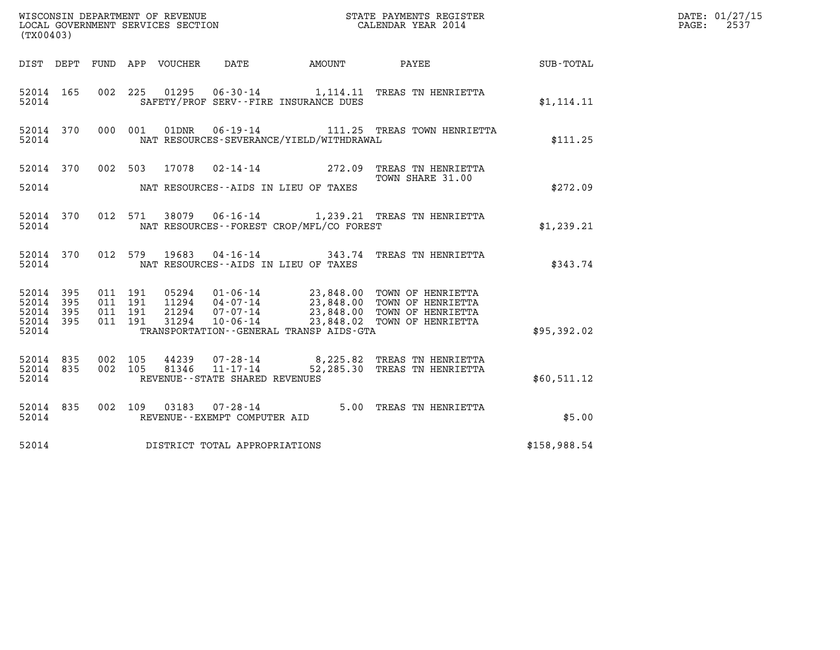| (TX00403)                                 |                          |                    |                               |                                                  |                                              |                                                                                                                                                                                      |              | DATE: 01/27/15<br>2537<br>$\mathtt{PAGE:}$ |
|-------------------------------------------|--------------------------|--------------------|-------------------------------|--------------------------------------------------|----------------------------------------------|--------------------------------------------------------------------------------------------------------------------------------------------------------------------------------------|--------------|--------------------------------------------|
|                                           |                          |                    | DIST DEPT FUND APP VOUCHER    | DATE                                             |                                              | AMOUNT PAYEE                                                                                                                                                                         | SUB-TOTAL    |                                            |
| 52014 165<br>52014                        |                          |                    |                               |                                                  | SAFETY/PROF SERV--FIRE INSURANCE DUES        | 002 225 01295 06-30-14 1,114.11 TREAS TN HENRIETTA                                                                                                                                   | \$1,114.11   |                                            |
| 52014                                     | 52014 370                |                    | 000 001<br>01DNR              |                                                  | NAT RESOURCES-SEVERANCE/YIELD/WITHDRAWAL     | 06-19-14 111.25 TREAS TOWN HENRIETTA                                                                                                                                                 | \$111.25     |                                            |
|                                           |                          |                    |                               |                                                  |                                              | 52014 370 002 503 17078 02-14-14 272.09 TREAS TN HENRIETTA<br>TOWN SHARE 31.00                                                                                                       |              |                                            |
| 52014                                     |                          |                    |                               |                                                  | NAT RESOURCES--AIDS IN LIEU OF TAXES         |                                                                                                                                                                                      | \$272.09     |                                            |
| 52014                                     | 52014 370                |                    | 012 571                       |                                                  | NAT RESOURCES--FOREST CROP/MFL/CO FOREST     | 38079   06-16-14   1,239.21   TREAS TN HENRIETTA                                                                                                                                     | \$1,239.21   |                                            |
| 52014                                     | 52014 370                |                    | 012 579                       |                                                  | NAT RESOURCES--AIDS IN LIEU OF TAXES         | 19683  04-16-14  343.74  TREAS TN HENRIETTA                                                                                                                                          | \$343.74     |                                            |
| 52014<br>52014<br>52014<br>52014<br>52014 | 395<br>395<br>395<br>395 | 011 191<br>011 191 | 011 191<br>011 191            |                                                  | TRANSPORTATION - - GENERAL TRANSP AIDS - GTA | 05294 01-06-14 23,848.00 TOWN OF HENRIETTA<br>11294 04-07-14 23,848.00 TOWN OF HENRIETTA<br>21294 07-07-14 23,848.00 TOWN OF HENRIETTA<br>31294 10-06-14 23,848.02 TOWN OF HENRIETTA | \$95,392.02  |                                            |
| 52014 835<br>52014 835<br>52014           |                          | 002 105            | 44239<br>002 105<br>81346     | $11 - 17 - 14$<br>REVENUE--STATE SHARED REVENUES |                                              | 07-28-14 8,225.82 TREAS TN HENRIETTA<br>52,285.30 TREAS TN HENRIETTA                                                                                                                 | \$60,511.12  |                                            |
| 52014 835<br>52014                        |                          |                    |                               | REVENUE--EXEMPT COMPUTER AID                     |                                              | 002 109 03183 07-28-14 5.00 TREAS TN HENRIETTA                                                                                                                                       | \$5.00       |                                            |
| 52014                                     |                          |                    | DISTRICT TOTAL APPROPRIATIONS |                                                  |                                              |                                                                                                                                                                                      | \$158,988.54 |                                            |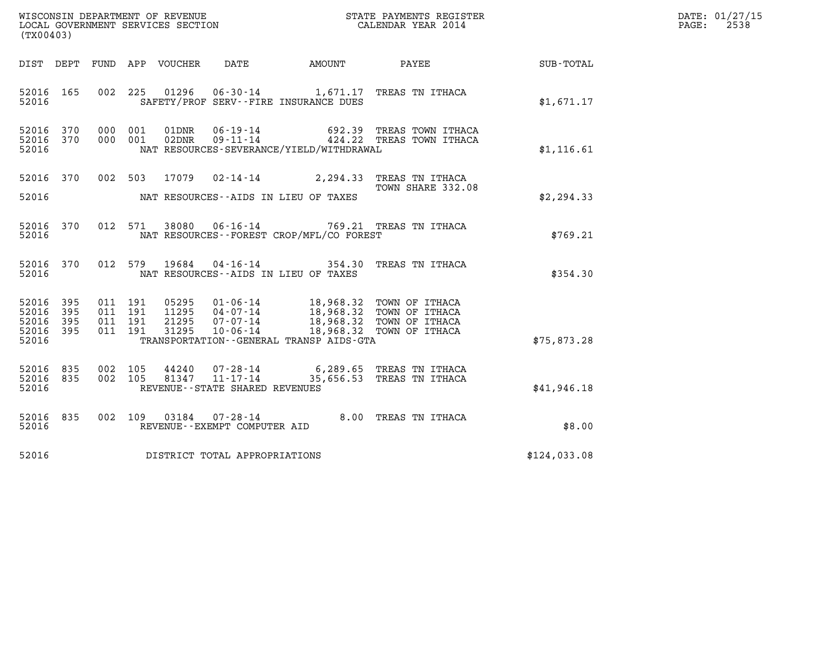| WISCONSIN DEPARTMENT OF REVENUE<br>LOCAL GOVERNMENT SERVICES SECTION | STATE PAYMENTS REGISTER<br>CALENDAR YEAR 2014 | DATE: 01/27/15<br>2538<br>PAGE: |
|----------------------------------------------------------------------|-----------------------------------------------|---------------------------------|

| (TX00403)                                             |           | WISCONSIN DEPARTMENT OF REVENUE<br>LOCAL GOVERNMENT SERVICES SECTION TERMS OF CALENDAR YEAR 2014 |  |  |                                     |                                             |                                                                                                                                                                                                          |                                                    | DATE: 01/27/15<br>PAGE: 2538 |
|-------------------------------------------------------|-----------|--------------------------------------------------------------------------------------------------|--|--|-------------------------------------|---------------------------------------------|----------------------------------------------------------------------------------------------------------------------------------------------------------------------------------------------------------|----------------------------------------------------|------------------------------|
|                                                       |           |                                                                                                  |  |  |                                     |                                             |                                                                                                                                                                                                          | DIST DEPT FUND APP VOUCHER DATE AMOUNT PAYEE TOTAL |                              |
|                                                       | 52016 165 |                                                                                                  |  |  |                                     | 52016 SAFETY/PROF SERV--FIRE INSURANCE DUES | 002 225 01296 06-30-14 1,671.17 TREAS TN ITHACA                                                                                                                                                          | \$1,671.17                                         |                              |
| 52016 370<br>52016                                    | 52016 370 |                                                                                                  |  |  |                                     | NAT RESOURCES-SEVERANCE/YIELD/WITHDRAWAL    | 000 001 01DNR 06-19-14 692.39 TREAS TOWN ITHACA<br>000 001 02DNR 09-11-14 424.22 TREAS TOWN ITHACA                                                                                                       | \$1,116.61                                         |                              |
|                                                       |           |                                                                                                  |  |  |                                     |                                             | 52016 370 002 503 17079 02-14-14 2,294.33 TREAS TN ITHACA<br>TOWN SHARE 332.08                                                                                                                           |                                                    |                              |
|                                                       |           |                                                                                                  |  |  |                                     |                                             |                                                                                                                                                                                                          | \$2,294.33                                         |                              |
| 52016                                                 |           |                                                                                                  |  |  |                                     | NAT RESOURCES--FOREST CROP/MFL/CO FOREST    | 52016 370 012 571 38080 06-16-14 769.21 TREAS TN ITHACA                                                                                                                                                  | \$769.21                                           |                              |
| 52016                                                 |           |                                                                                                  |  |  |                                     | NAT RESOURCES--AIDS IN LIEU OF TAXES        | 52016 370 012 579 19684 04-16-14 354.30 TREAS TN ITHACA                                                                                                                                                  | \$354.30                                           |                              |
| 52016 395<br>52016<br>52016 395<br>52016 395<br>52016 | 395       |                                                                                                  |  |  |                                     | TRANSPORTATION--GENERAL TRANSP AIDS-GTA     | 011 191 05295 01-06-14 18,968.32 TOWN OF ITHACA<br>011 191 11295 04-07-14 18,968.32 TOWN OF ITHACA<br>011 191 21295 07-07-14 18,968.32 TOWN OF ITHACA<br>011 191 31295 10-06-14 18,968.32 TOWN OF ITHACA | \$75,873.28                                        |                              |
|                                                       |           |                                                                                                  |  |  |                                     |                                             |                                                                                                                                                                                                          |                                                    |                              |
| 52016 835<br>52016 835<br>52016                       |           |                                                                                                  |  |  | REVENUE--STATE SHARED REVENUES      |                                             | 002 105 44240 07-28-14 6,289.65 TREAS TN ITHACA<br>002 105 81347 11-17-14 35,656.53 TREAS TN ITHACA                                                                                                      | \$41,946.18                                        |                              |
| 52016                                                 |           |                                                                                                  |  |  | REVENUE--EXEMPT COMPUTER AID        |                                             | 52016 835 002 109 03184 07-28-14 8.00 TREAS TN ITHACA                                                                                                                                                    | \$8.00                                             |                              |
|                                                       |           |                                                                                                  |  |  | 52016 DISTRICT TOTAL APPROPRIATIONS |                                             |                                                                                                                                                                                                          | \$124,033.08                                       |                              |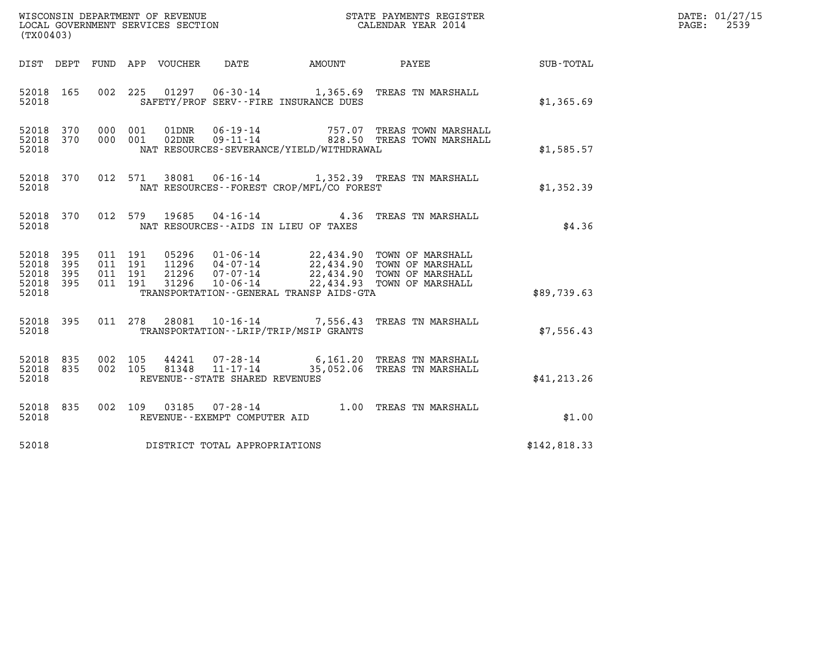| (TX00403)                                                    |                                                                                                                                                                                                                                                                                                                                                                                                              |                             |              | DATE: 01/27/15<br>$\mathtt{PAGE:}$<br>2539 |
|--------------------------------------------------------------|--------------------------------------------------------------------------------------------------------------------------------------------------------------------------------------------------------------------------------------------------------------------------------------------------------------------------------------------------------------------------------------------------------------|-----------------------------|--------------|--------------------------------------------|
| DIST DEPT FUND APP VOUCHER                                   |                                                                                                                                                                                                                                                                                                                                                                                                              | DATE AMOUNT PAYEE SUB-TOTAL |              |                                            |
| 52018 165<br>52018                                           | 002 225 01297 06-30-14 1,365.69 TREAS TN MARSHALL<br>SAFETY/PROF SERV--FIRE INSURANCE DUES                                                                                                                                                                                                                                                                                                                   |                             | \$1,365.69   |                                            |
| 52018 370<br>52018 370<br>52018                              | 000 001 01DNR 06-19-14 757.07 TREAS TOWN MARSHALL 000 001 02DNR 09-11-14 828.50 TREAS TOWN MARSHALL<br>NAT RESOURCES-SEVERANCE/YIELD/WITHDRAWAL                                                                                                                                                                                                                                                              |                             | \$1,585.57   |                                            |
| 012 571<br>52018 370<br>52018                                | 38081  06-16-14   1,352.39   TREAS TN MARSHALL<br>NAT RESOURCES - FOREST CROP/MFL/CO FOREST                                                                                                                                                                                                                                                                                                                  |                             | \$1,352.39   |                                            |
| 52018 370<br>52018                                           | 012 579 19685 04-16-14 4.36 TREAS TN MARSHALL<br>NAT RESOURCES -- AIDS IN LIEU OF TAXES                                                                                                                                                                                                                                                                                                                      |                             | \$4.36       |                                            |
| 52018 395<br>52018<br>395<br>52018 395<br>52018 395<br>52018 | $\begin{array}{cccc} 011 & 191 & 05296 & 01\text{-}06\text{-}14 & 22\text{,}434\text{-}90 & \text{TOWN OF MARSHALL} \\ 011 & 191 & 11296 & 04\text{-}07\text{-}14 & 22\text{,}434\text{-}90 & \text{TOWN OF MARSHALL} \\ 011 & 191 & 21296 & 07\text{-}07\text{-}14 & 22\text{,}434\text{-}90 & \text{TOWN OF MARSHALL} \\ 011 & 191 & 31296 & 10\text{-}06$<br>TRANSPORTATION - - GENERAL TRANSP AIDS - GTA |                             | \$89,739.63  |                                            |
| 52018 395<br>52018                                           | 011 278 28081 10-16-14 7,556.43 TREAS TN MARSHALL<br>TRANSPORTATION - - LRIP/TRIP/MSIP GRANTS                                                                                                                                                                                                                                                                                                                |                             | \$7,556.43   |                                            |
| 52018 835<br>52018 835<br>52018                              | 002 105 44241 07-28-14 6,161.20 TREAS TN MARSHALL<br>002 105 81348 11-17-14 35,052.06 TREAS TN MARSHALL<br>REVENUE - - STATE SHARED REVENUES                                                                                                                                                                                                                                                                 |                             | \$41, 213.26 |                                            |
| 52018 835<br>52018                                           | 002 109 03185 07-28-14 1.00 TREAS TN MARSHALL<br>REVENUE--EXEMPT COMPUTER AID                                                                                                                                                                                                                                                                                                                                |                             | \$1.00       |                                            |
| 52018                                                        | DISTRICT TOTAL APPROPRIATIONS                                                                                                                                                                                                                                                                                                                                                                                |                             | \$142,818.33 |                                            |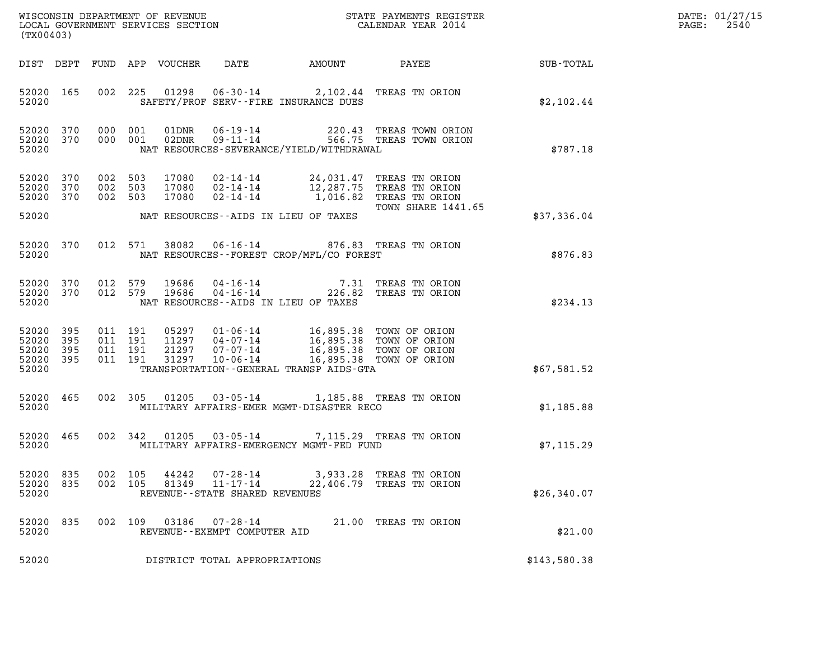| DATE: | 01/27/15 |
|-------|----------|
| PAGE: | 2540     |

| (TX00403)                                     |                   |                           |                    |                         |                                                           |                                                                                                                      |                                                                      |              | DATE: 01/27/15<br>2540<br>$\mathtt{PAGE}$ : |
|-----------------------------------------------|-------------------|---------------------------|--------------------|-------------------------|-----------------------------------------------------------|----------------------------------------------------------------------------------------------------------------------|----------------------------------------------------------------------|--------------|---------------------------------------------|
| DIST DEPT                                     |                   |                           |                    | FUND APP VOUCHER        | DATE                                                      | AMOUNT                                                                                                               | PAYEE                                                                | SUB-TOTAL    |                                             |
| 52020 165<br>52020                            |                   |                           | 002 225            |                         |                                                           | 01298  06-30-14  2,102.44  TREAS TN ORION<br>SAFETY/PROF SERV--FIRE INSURANCE DUES                                   |                                                                      | \$2,102.44   |                                             |
| 52020 370<br>52020 370<br>52020               |                   | 000 001<br>000 001        |                    | 01DNR<br>02DNR          |                                                           | NAT RESOURCES-SEVERANCE/YIELD/WITHDRAWAL                                                                             | 06-19-14 220.43 TREAS TOWN ORION<br>09-11-14 566.75 TREAS TOWN ORION | \$787.18     |                                             |
| 52020<br>52020<br>52020 370                   | 370<br>370        | 002<br>002 503<br>002 503 | 503                | 17080<br>17080<br>17080 | 02-14-14<br>$02 - 14 - 14$                                | 02-14-14 24,031.47 TREAS TN ORION                                                                                    | 12,287.75 TREAS TN ORION<br>1,016.82 TREAS TN ORION                  |              |                                             |
| 52020                                         |                   |                           |                    |                         |                                                           | NAT RESOURCES--AIDS IN LIEU OF TAXES                                                                                 | TOWN SHARE 1441.65                                                   | \$37,336.04  |                                             |
| 52020 370<br>52020                            |                   |                           | 012 571            | 38082                   |                                                           | 06-16-14 876.83 TREAS TN ORION<br>NAT RESOURCES--FOREST CROP/MFL/CO FOREST                                           |                                                                      | \$876.83     |                                             |
| 52020 370<br>52020 370<br>52020               |                   | 012 579<br>012 579        |                    | 19686<br>19686          |                                                           | 04-16-14 7.31 TREAS TN ORION<br>04-16-14 226.82 TREAS TN ORION<br>NAT RESOURCES--AIDS IN LIEU OF TAXES               |                                                                      | \$234.13     |                                             |
| 52020<br>52020<br>52020<br>52020 395<br>52020 | 395<br>395<br>395 | 011 191<br>011 191        | 011 191<br>011 191 | 31297                   | 11297   04-07-14<br>21297 07-07-14<br>$10 - 06 - 14$      | 05297  01-06-14  16,895.38  TOWN OF ORION<br>16,895.38 TOWN OF ORION<br>TRANSPORTATION - - GENERAL TRANSP AIDS - GTA | 16,895.38 TOWN OF ORION<br>16,895.38 TOWN OF ORION                   | \$67,581.52  |                                             |
| 52020 465<br>52020                            |                   |                           | 002 305            |                         |                                                           | 01205  03-05-14  1,185.88  TREAS  TN ORION<br>MILITARY AFFAIRS-EMER MGMT-DISASTER RECO                               |                                                                      | \$1,185.88   |                                             |
| 52020 465<br>52020                            |                   |                           | 002 342            |                         | 01205  03-05-14                                           | MILITARY AFFAIRS-EMERGENCY MGMT-FED FUND                                                                             | 7,115.29 TREAS TN ORION                                              | \$7,115.29   |                                             |
| 52020 835<br>52020<br>52020                   | 835               | 002 105                   | 002 105            | 44242<br>81349          | 07-28-14<br>11-17-14<br>REVENUE - - STATE SHARED REVENUES | 22,406.79                                                                                                            | 3,933.28 TREAS TN ORION<br>TREAS TN ORION                            | \$26,340.07  |                                             |
| 52020<br>52020                                | 835               | 002 109                   |                    | 03186                   | 07-28-14<br>REVENUE--EXEMPT COMPUTER AID                  |                                                                                                                      | 21.00 TREAS TN ORION                                                 | \$21.00      |                                             |
| 52020                                         |                   |                           |                    |                         | DISTRICT TOTAL APPROPRIATIONS                             |                                                                                                                      |                                                                      | \$143,580.38 |                                             |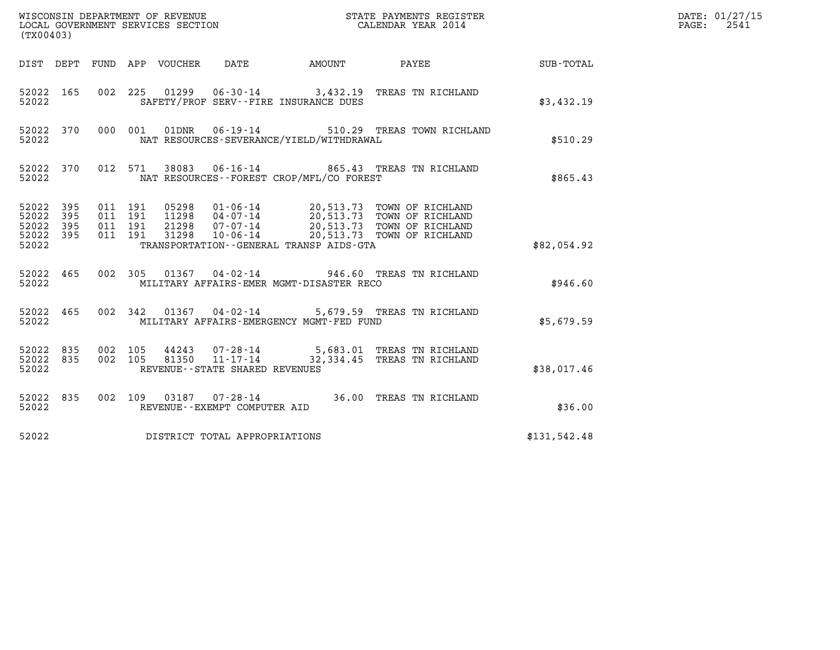| (TX00403)                                         |            | WISCONSIN DEPARTMENT OF REVENUE<br>LOCAL GOVERNMENT SERVICES SECTION |                                                                                                                                                                                                                                         | DATE: 01/27/15<br>$\mathtt{PAGE:}$<br>2541 |              |  |
|---------------------------------------------------|------------|----------------------------------------------------------------------|-----------------------------------------------------------------------------------------------------------------------------------------------------------------------------------------------------------------------------------------|--------------------------------------------|--------------|--|
|                                                   |            | DIST DEPT FUND APP VOUCHER<br>DATE                                   |                                                                                                                                                                                                                                         |                                            |              |  |
| 52022 165<br>52022                                |            | 002 225                                                              | 01299   06-30-14   3,432.19   TREAS TN RICHLAND<br>SAFETY/PROF SERV--FIRE INSURANCE DUES                                                                                                                                                |                                            | \$3,432.19   |  |
| 52022 370<br>52022                                |            | 000 001<br>01DNR                                                     | $06 - 19 - 14$<br>NAT RESOURCES-SEVERANCE/YIELD/WITHDRAWAL                                                                                                                                                                              | 510.29 TREAS TOWN RICHLAND                 | \$510.29     |  |
| 52022 370<br>52022                                |            | 012 571<br>38083                                                     | 06-16-14 865.43 TREAS TN RICHLAND<br>NAT RESOURCES--FOREST CROP/MFL/CO FOREST                                                                                                                                                           |                                            | \$865.43     |  |
| 52022 395<br>52022<br>52022<br>52022 395<br>52022 | 395<br>395 | 011 191<br>011 191<br>011 191<br>011 191                             | 05298  01-06-14  20,513.73  TOWN OF RICHLAND<br>11298  04-07-14  20,513.73  TOWN OF RICHLAND<br>21298  07-07-14  20,513.73  TOWN OF RICHLAND<br>31298  10-06-14  20,513.73  TOWN OF RICHLAND<br>TRANSPORTATION--GENERAL TRANSP AIDS-GTA |                                            | \$82,054.92  |  |
| 52022 465<br>52022                                |            |                                                                      | 002 305 01367 04-02-14 946.60 TREAS TN RICHLAND<br>MILITARY AFFAIRS-EMER MGMT-DISASTER RECO                                                                                                                                             |                                            | \$946.60     |  |
| 52022 465<br>52022                                |            |                                                                      | 002 342 01367 04-02-14 5,679.59 TREAS TN RICHLAND<br>MILITARY AFFAIRS-EMERGENCY MGMT-FED FUND                                                                                                                                           |                                            | \$5,679.59   |  |
| 52022 835<br>52022 835<br>52022                   |            | 002 105<br>002 105<br>REVENUE - - STATE SHARED REVENUES              |                                                                                                                                                                                                                                         |                                            | \$38,017.46  |  |
| 52022 835<br>52022                                |            | REVENUE--EXEMPT COMPUTER AID                                         | 002 109 03187 07-28-14 36.00 TREAS TN RICHLAND                                                                                                                                                                                          |                                            | \$36.00      |  |
| 52022                                             |            | DISTRICT TOTAL APPROPRIATIONS                                        |                                                                                                                                                                                                                                         |                                            | \$131,542.48 |  |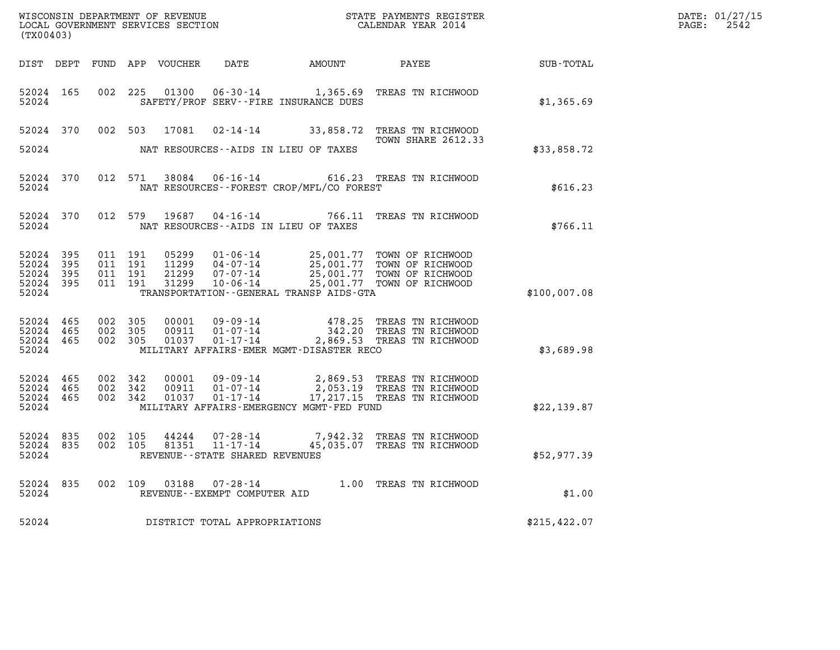| (TX00403)                                     |                     |                               | WISCONSIN DEPARTMENT OF REVENUE<br>LOCAL GOVERNMENT SERVICES SECTION |                                  | STATE PAYMENTS REGISTER<br>CALENDAR YEAR 2014                 |                                                                                                                                                                                                                  |               | DATE: 01/27/15<br>$\mathtt{PAGE:}$<br>2542 |
|-----------------------------------------------|---------------------|-------------------------------|----------------------------------------------------------------------|----------------------------------|---------------------------------------------------------------|------------------------------------------------------------------------------------------------------------------------------------------------------------------------------------------------------------------|---------------|--------------------------------------------|
|                                               |                     |                               |                                                                      |                                  | DIST DEPT FUND APP VOUCHER  DATE         AMOUNT         PAYEE |                                                                                                                                                                                                                  | SUB-TOTAL     |                                            |
| 52024                                         |                     |                               |                                                                      |                                  | SAFETY/PROF SERV--FIRE INSURANCE DUES                         | 52024 165 002 225 01300 06-30-14 1,365.69 TREAS TN RICHWOOD                                                                                                                                                      | \$1,365.69    |                                            |
|                                               |                     |                               |                                                                      |                                  |                                                               | 52024 370 002 503 17081 02-14-14 33,858.72 TREAS TN RICHWOOD<br><b>TOWN SHARE 2612.33</b>                                                                                                                        |               |                                            |
| 52024                                         |                     |                               |                                                                      |                                  | NAT RESOURCES--AIDS IN LIEU OF TAXES                          |                                                                                                                                                                                                                  | \$33,858.72   |                                            |
| 52024                                         |                     |                               |                                                                      |                                  | NAT RESOURCES--FOREST CROP/MFL/CO FOREST                      | 52024 370 012 571 38084 06-16-14 616.23 TREAS TN RICHWOOD                                                                                                                                                        | \$616.23      |                                            |
| 52024                                         |                     |                               |                                                                      | 52024 370 012 579 19687 04-16-14 | NAT RESOURCES--AIDS IN LIEU OF TAXES                          | 766.11 TREAS TN RICHWOOD                                                                                                                                                                                         | \$766.11      |                                            |
| 52024<br>52024<br>52024<br>52024 395<br>52024 | 395<br>395<br>- 395 |                               |                                                                      |                                  | TRANSPORTATION - - GENERAL TRANSP AIDS-GTA                    | 011 191 05299 01-06-14 25,001.77 TOWN OF RICHWOOD<br>011 191 11299 04-07-14 25,001.77 TOWN OF RICHWOOD<br>011 191 21299 07-07-14 25,001.77 TOWN OF RICHWOOD<br>011 191 31299 10-06-14 25,001.77 TOWN OF RICHWOOD | \$100,007.08  |                                            |
| 52024 465<br>52024 465<br>52024 465<br>52024  |                     | 002 305<br>002 305<br>002 305 |                                                                      |                                  | MILITARY AFFAIRS-EMER MGMT-DISASTER RECO                      | 00001 09-09-14 478.25 TREAS TN RICHWOOD<br>00911 01-07-14 342.20 TREAS TN RICHWOOD<br>01037 01-17-14 2,869.53 TREAS TN RICHWOOD                                                                                  | \$3,689.98    |                                            |
| 52024 465<br>52024 465<br>52024               | 52024 465           |                               |                                                                      |                                  | MILITARY AFFAIRS-EMERGENCY MGMT-FED FUND                      | 002 342 00001 09-09-14 2,869.53 TREAS TN RICHWOOD<br>002 342 00911 01-07-14 2,053.19 TREAS TN RICHWOOD<br>002 342 01037 01-17-14 17,217.15 TREAS TN RICHWOOD                                                     | \$22,139.87   |                                            |
| 52024 835<br>52024 835<br>52024               |                     |                               |                                                                      | REVENUE--STATE SHARED REVENUES   |                                                               | 002 105 44244 07-28-14 7,942.32 TREAS TN RICHWOOD<br>002 105 81351 11-17-14 45,035.07 TREAS TN RICHWOOD                                                                                                          | \$52,977.39   |                                            |
| 52024                                         |                     |                               |                                                                      | REVENUE--EXEMPT COMPUTER AID     |                                                               | 52024 835 002 109 03188 07-28-14 1.00 TREAS TN RICHWOOD                                                                                                                                                          | \$1.00        |                                            |
| 52024                                         |                     |                               |                                                                      | DISTRICT TOTAL APPROPRIATIONS    |                                                               |                                                                                                                                                                                                                  | \$215, 422.07 |                                            |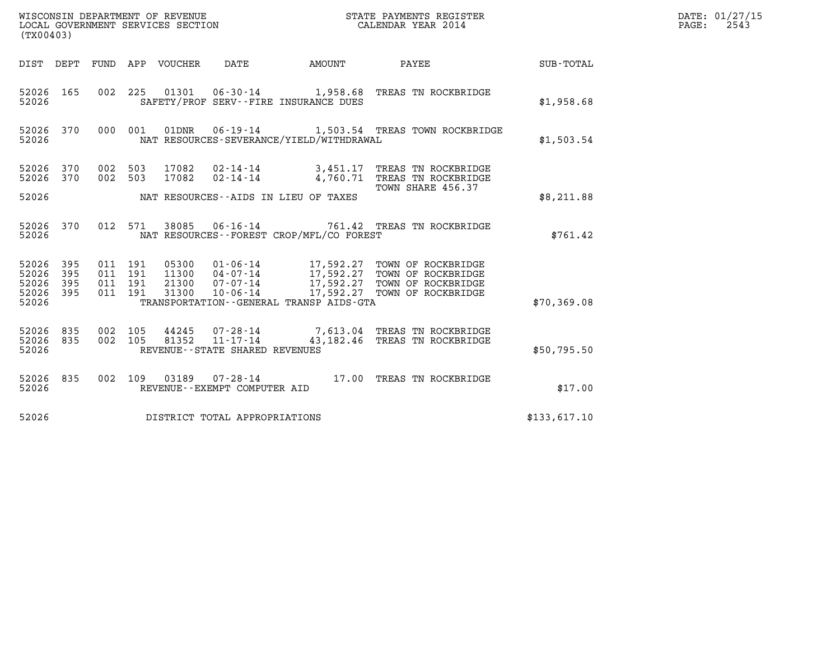|                                               | WISCONSIN DEPARTMENT OF REVENUE<br>LOCAL GOVERNMENT SERVICES SECTION<br>STATE PAYMENTS REGISTER<br>CALENDAR YEAR 2014<br>(TX00403) |                                          |         |                                 |                                                     |                                             |                                                                                                                                                                                                  |              | DATE: 01/27/15<br>PAGE: 2543 |
|-----------------------------------------------|------------------------------------------------------------------------------------------------------------------------------------|------------------------------------------|---------|---------------------------------|-----------------------------------------------------|---------------------------------------------|--------------------------------------------------------------------------------------------------------------------------------------------------------------------------------------------------|--------------|------------------------------|
|                                               |                                                                                                                                    |                                          |         | DIST DEPT FUND APP VOUCHER DATE |                                                     | AMOUNT PAYEE                                |                                                                                                                                                                                                  | SUB-TOTAL    |                              |
| 52026 165<br>52026                            |                                                                                                                                    |                                          |         |                                 |                                                     | SAFETY/PROF SERV--FIRE INSURANCE DUES       | 002 225 01301 06-30-14 1,958.68 TREAS TN ROCKBRIDGE                                                                                                                                              | \$1,958.68   |                              |
| 52026 370<br>52026                            |                                                                                                                                    |                                          |         |                                 |                                                     | NAT RESOURCES-SEVERANCE/YIELD/WITHDRAWAL    | 000 001 01DNR 06-19-14 1,503.54 TREAS TOWN ROCKBRIDGE                                                                                                                                            | \$1,503.54   |                              |
| 52026 370<br>52026 370                        |                                                                                                                                    | 002 503<br>002 503                       |         |                                 |                                                     |                                             | 17082  02-14-14  3,451.17  TREAS TN ROCKBRIDGE<br>17082  02-14-14  4,760.71  TREAS TN ROCKBRIDGE<br>TOWN SHARE 456.37                                                                            |              |                              |
| 52026                                         |                                                                                                                                    |                                          |         |                                 |                                                     | NAT RESOURCES--AIDS IN LIEU OF TAXES        |                                                                                                                                                                                                  | \$8,211.88   |                              |
| 52026 370<br>52026                            |                                                                                                                                    |                                          | 012 571 |                                 |                                                     | NAT RESOURCES - - FOREST CROP/MFL/CO FOREST | 38085  06-16-14  761.42  TREAS TN ROCKBRIDGE                                                                                                                                                     | \$761.42     |                              |
| 52026<br>52026<br>52026<br>52026 395<br>52026 | 395<br>395<br>395                                                                                                                  | 011 191<br>011 191<br>011 191<br>011 191 |         |                                 |                                                     | TRANSPORTATION--GENERAL TRANSP AIDS-GTA     | 05300  01-06-14  17,592.27 TOWN OF ROCKBRIDGE<br>11300  04-07-14  17,592.27 TOWN OF ROCKBRIDGE<br>21300  07-07-14  17,592.27 TOWN OF ROCKBRIDGE<br>31300  10-06-14  17,592.27 TOWN OF ROCKBRIDGE | \$70,369.08  |                              |
| 52026 835<br>52026 835<br>52026               |                                                                                                                                    | 002 105<br>002 105                       |         |                                 | 81352 11-17-14<br>REVENUE - - STATE SHARED REVENUES |                                             | 44245 07-28-14 7,613.04 TREAS TN ROCKBRIDGE<br>43,182.46 TREAS TN ROCKBRIDGE                                                                                                                     | \$50,795.50  |                              |
| 52026 835<br>52026                            |                                                                                                                                    |                                          |         |                                 | REVENUE--EXEMPT COMPUTER AID                        |                                             | 002 109 03189 07-28-14 17.00 TREAS TN ROCKBRIDGE                                                                                                                                                 | \$17.00      |                              |
| 52026                                         |                                                                                                                                    |                                          |         |                                 | DISTRICT TOTAL APPROPRIATIONS                       |                                             |                                                                                                                                                                                                  | \$133,617.10 |                              |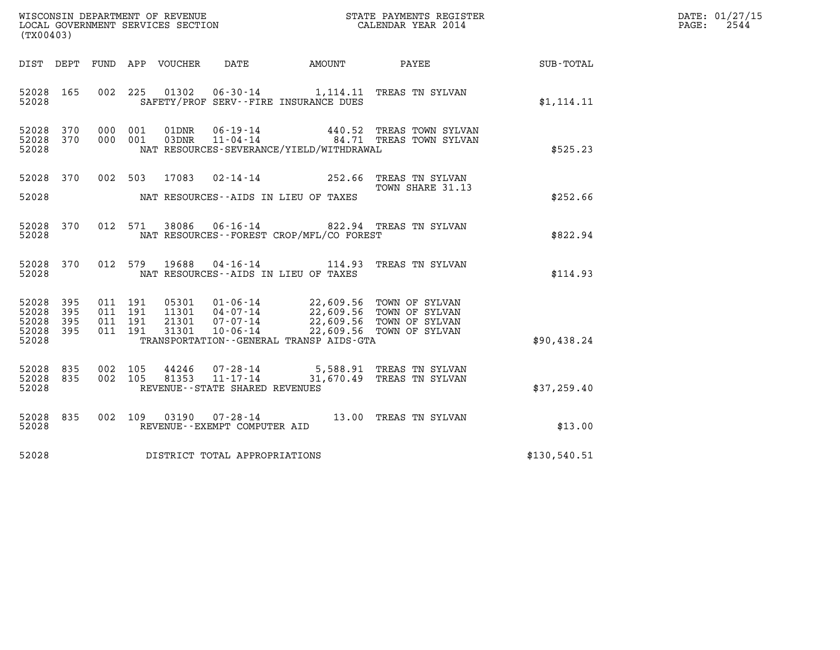| WISCONSIN DEPARTMENT OF REVENUE<br>LOCAL GOVERNMENT SERVICES SECTION<br>(TX00403) |                               |         |                |                                                                        |                                              | STATE PAYMENTS REGISTER<br>CALENDAR YEAR 2014                                                                |             | DATE: 01/27/15<br>2544<br>$\mathtt{PAGE:}$ |
|-----------------------------------------------------------------------------------|-------------------------------|---------|----------------|------------------------------------------------------------------------|----------------------------------------------|--------------------------------------------------------------------------------------------------------------|-------------|--------------------------------------------|
| DIST DEPT                                                                         | FUND                          |         | APP VOUCHER    | DATE                                                                   | AMOUNT                                       | PAYEE                                                                                                        | SUB-TOTAL   |                                            |
| 52028 165<br>52028                                                                |                               |         | 002 225 01302  |                                                                        | SAFETY/PROF SERV--FIRE INSURANCE DUES        | 06-30-14 1,114.11 TREAS TN SYLVAN                                                                            | \$1,114.11  |                                            |
| 52028<br>370<br>52028 370<br>52028                                                | 000 001<br>000 001            |         | 01DNR<br>03DNR |                                                                        | NAT RESOURCES-SEVERANCE/YIELD/WITHDRAWAL     | 06-19-14 440.52 TREAS TOWN SYLVAN<br>11-04-14 64.71 TREAS TOWN SYLVAN                                        | \$525.23    |                                            |
| 52028 370                                                                         |                               |         |                |                                                                        |                                              | 002 503 17083 02-14-14 252.66 TREAS TN SYLVAN<br>TOWN SHARE 31.13                                            |             |                                            |
| 52028                                                                             |                               |         |                |                                                                        | NAT RESOURCES--AIDS IN LIEU OF TAXES         |                                                                                                              | \$252.66    |                                            |
| 52028 370<br>52028                                                                |                               | 012 571 | 38086          |                                                                        | NAT RESOURCES - - FOREST CROP/MFL/CO FOREST  | 06-16-14 822.94 TREAS TN SYLVAN                                                                              | \$822.94    |                                            |
| 52028 370<br>52028                                                                |                               | 012 579 |                |                                                                        | NAT RESOURCES--AIDS IN LIEU OF TAXES         | 19688  04-16-14    114.93    TREAS TN SYLVAN                                                                 | \$114.93    |                                            |
| 52028<br>395<br>52028<br>395<br>52028<br>395<br>52028 395<br>52028                | 011 191<br>011 191<br>011 191 | 011 191 | 31301          | 05301 01-06-14<br>11301  04-07-14<br>21301  07-07-14<br>$10 - 06 - 14$ | TRANSPORTATION - - GENERAL TRANSP AIDS - GTA | 22,609.56 TOWN OF SYLVAN<br>22,609.56 TOWN OF SYLVAN<br>22,609.56 TOWN OF SYLVAN<br>22,609.56 TOWN OF SYLVAN | \$90,438.24 |                                            |
| 835<br>52028<br>52028<br>835<br>52028                                             | 002 105<br>002 105            |         | 81353          | 44246 07-28-14<br>$11 - 17 - 14$<br>REVENUE - - STATE SHARED REVENUES  |                                              | 5,588.91 TREAS TN SYLVAN<br>31,670.49 TREAS TN SYLVAN                                                        | \$37,259.40 |                                            |

| 52028              |         |  | REVENUE--STATE SHARED REVENUES                 |       |                 | \$37,259.40 |
|--------------------|---------|--|------------------------------------------------|-------|-----------------|-------------|
| 52028 835<br>52028 | 002 109 |  | 03190 07-28-14<br>REVENUE--EXEMPT COMPUTER AID | 13.00 | TREAS TN SYLVAN | \$13.00     |

52028 REVENUE -- EXEMPT COMPUTER AID<br>52028 DISTRICT TOTAL APPROPRIATIONS \$130,540.51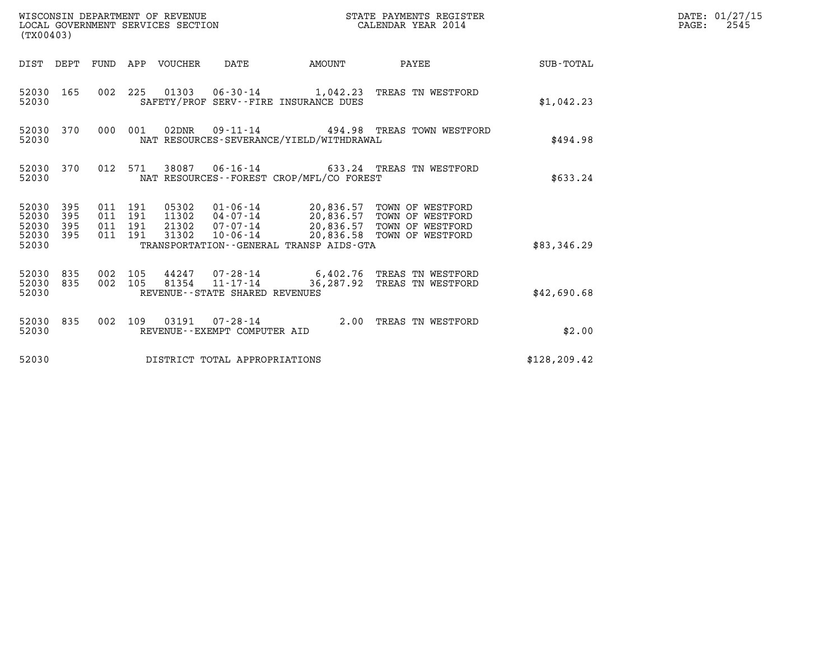| WISCONSIN DEPARTMENT OF REVENUE<br>LOCAL GOVERNMENT SERVICES SECTION<br>(TX00403) |            |                                          |         |                       |                                                  |                                              | STATE PAYMENTS REGISTER<br>CALENDAR YEAR 2014                                                                                                                                       |                 | DATE: 01/27/15<br>$\mathtt{PAGE:}$<br>2545 |
|-----------------------------------------------------------------------------------|------------|------------------------------------------|---------|-----------------------|--------------------------------------------------|----------------------------------------------|-------------------------------------------------------------------------------------------------------------------------------------------------------------------------------------|-----------------|--------------------------------------------|
|                                                                                   | DIST DEPT  |                                          |         | FUND APP VOUCHER DATE |                                                  | AMOUNT                                       |                                                                                                                                                                                     | PAYEE SUB-TOTAL |                                            |
| 52030 165<br>52030                                                                |            |                                          |         |                       |                                                  | SAFETY/PROF SERV--FIRE INSURANCE DUES        | 002 225 01303 06-30-14 1,042.23 TREAS TN WESTFORD                                                                                                                                   | \$1,042.23      |                                            |
| 52030 370<br>52030                                                                |            | 000 001                                  |         |                       |                                                  | NAT RESOURCES-SEVERANCE/YIELD/WITHDRAWAL     | 02DNR  09-11-14  494.98 TREAS TOWN WESTFORD                                                                                                                                         | \$494.98        |                                            |
| 52030                                                                             | 52030 370  |                                          | 012 571 |                       |                                                  | NAT RESOURCES -- FOREST CROP/MFL/CO FOREST   | 38087  06-16-14  633.24  TREAS TN WESTFORD                                                                                                                                          | \$633.24        |                                            |
| 52030 395<br>52030<br>52030<br>52030 395<br>52030                                 | 395<br>395 | 011 191<br>011 191<br>011 191<br>011 191 |         | 31302                 |                                                  | TRANSPORTATION - - GENERAL TRANSP AIDS - GTA | 05302  01-06-14  20,836.57  TOWN OF WESTFORD<br>11302  04-07-14  20,836.57  TOWN OF WESTFORD<br>21302  07-07-14  20,836.57  TOWN OF WESTFORD<br>10-06-14 20,836.58 TOWN OF WESTFORD | \$83,346.29     |                                            |
| 52030 835<br>52030 835<br>52030                                                   |            | 002 105<br>002 105                       |         |                       | 81354 11-17-14<br>REVENUE--STATE SHARED REVENUES |                                              | 44247 07-28-14 6,402.76 TREAS TN WESTFORD<br>36,287.92 TREAS TN WESTFORD                                                                                                            | \$42,690.68     |                                            |
| 52030 835<br>52030                                                                |            |                                          | 002 109 |                       | REVENUE--EXEMPT COMPUTER AID                     |                                              | 03191  07-28-14  2.00 TREAS TN WESTFORD                                                                                                                                             | \$2.00          |                                            |
| 52030                                                                             |            |                                          |         |                       | DISTRICT TOTAL APPROPRIATIONS                    |                                              |                                                                                                                                                                                     | \$128, 209.42   |                                            |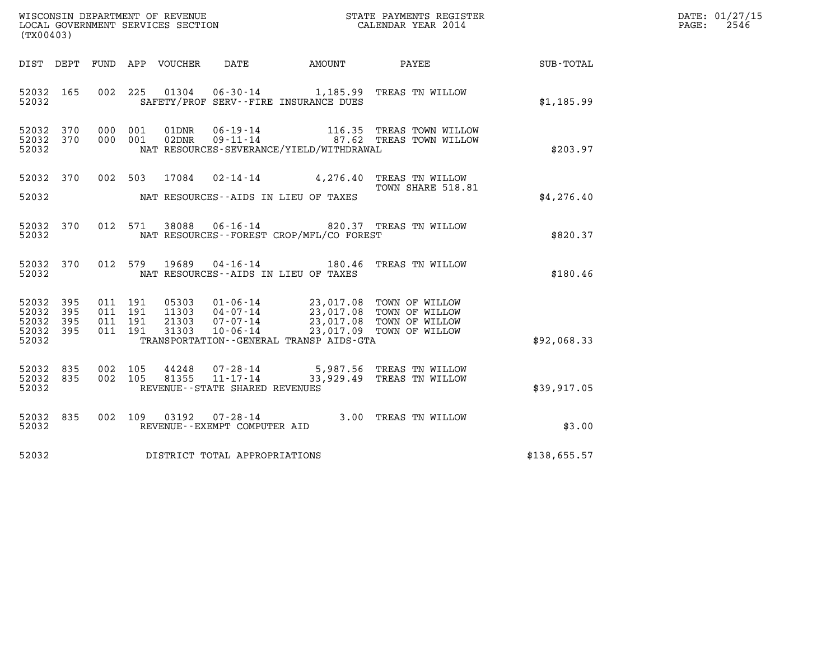| WISCONSIN DEPARTMENT OF REVENUE   | STATE PAYMENTS REGISTER | DATE: 01/27/15 |
|-----------------------------------|-------------------------|----------------|
| LOCAL GOVERNMENT SERVICES SECTION | CALENDAR YEAR 2014      | 2546<br>PAGE:  |

| (TX00403)                                                    |  | WISCONSIN DEPARTMENT OF REVENUE<br>LOCAL GOVERNMENT SERVICES SECTION<br>CALENDAR YEAR 2014 |                                          | DATE: 01/27/15<br>$\mathtt{PAGE:}$<br>2546                                                                                                                                                               |                                                        |  |
|--------------------------------------------------------------|--|--------------------------------------------------------------------------------------------|------------------------------------------|----------------------------------------------------------------------------------------------------------------------------------------------------------------------------------------------------------|--------------------------------------------------------|--|
|                                                              |  |                                                                                            |                                          |                                                                                                                                                                                                          | DIST DEPT FUND APP VOUCHER DATE AMOUNT PAYEE SUB-TOTAL |  |
| 52032 165                                                    |  | 52032 SAFETY/PROF SERV--FIRE INSURANCE DUES                                                |                                          | 002 225 01304 06-30-14 1,185.99 TREAS TN WILLOW                                                                                                                                                          | \$1,185.99                                             |  |
| 52032 370<br>52032 370<br>52032                              |  |                                                                                            | NAT RESOURCES-SEVERANCE/YIELD/WITHDRAWAL | 000 001 01DNR 06-19-14 116.35 TREAS TOWN WILLOW<br>000 001 02DNR 09-11-14 37.62 TREAS TOWN WILLOW                                                                                                        | \$203.97                                               |  |
|                                                              |  |                                                                                            |                                          | 52032 370 002 503 17084 02-14-14 4,276.40 TREAS TN WILLOW<br>TOWN SHARE 518.81                                                                                                                           | \$4,276.40                                             |  |
| 52032 370<br>52032                                           |  |                                                                                            | NAT RESOURCES--FOREST CROP/MFL/CO FOREST | 012 571 38088 06-16-14 820.37 TREAS TN WILLOW                                                                                                                                                            | \$820.37                                               |  |
| 52032 370<br>52032                                           |  | NAT RESOURCES -- AIDS IN LIEU OF TAXES                                                     |                                          | 012 579 19689 04-16-14 180.46 TREAS TN WILLOW                                                                                                                                                            | \$180.46                                               |  |
| 52032 395<br>52032<br>395<br>52032 395<br>52032 395<br>52032 |  |                                                                                            | TRANSPORTATION--GENERAL TRANSP AIDS-GTA  | 011 191 05303 01-06-14 23,017.08 TOWN OF WILLOW<br>011 191 11303 04-07-14 23,017.08 TOWN OF WILLOW<br>011 191 21303 07-07-14 23,017.08 TOWN OF WILLOW<br>011 191 31303 10-06-14 23,017.09 TOWN OF WILLOW | \$92,068.33                                            |  |
| 52032 835<br>52032 835<br>52032                              |  | REVENUE--STATE SHARED REVENUES                                                             |                                          | 002 105 44248 07-28-14 5,987.56 TREAS TN WILLOW<br>002 105 81355 11-17-14 33,929.49 TREAS TN WILLOW                                                                                                      | \$39,917.05                                            |  |
| 52032 835<br>52032                                           |  | REVENUE--EXEMPT COMPUTER AID                                                               |                                          | 002 109 03192 07-28-14 3.00 TREAS TN WILLOW                                                                                                                                                              | \$3.00                                                 |  |
|                                                              |  | 52032 DISTRICT TOTAL APPROPRIATIONS                                                        |                                          |                                                                                                                                                                                                          | \$138,655.57                                           |  |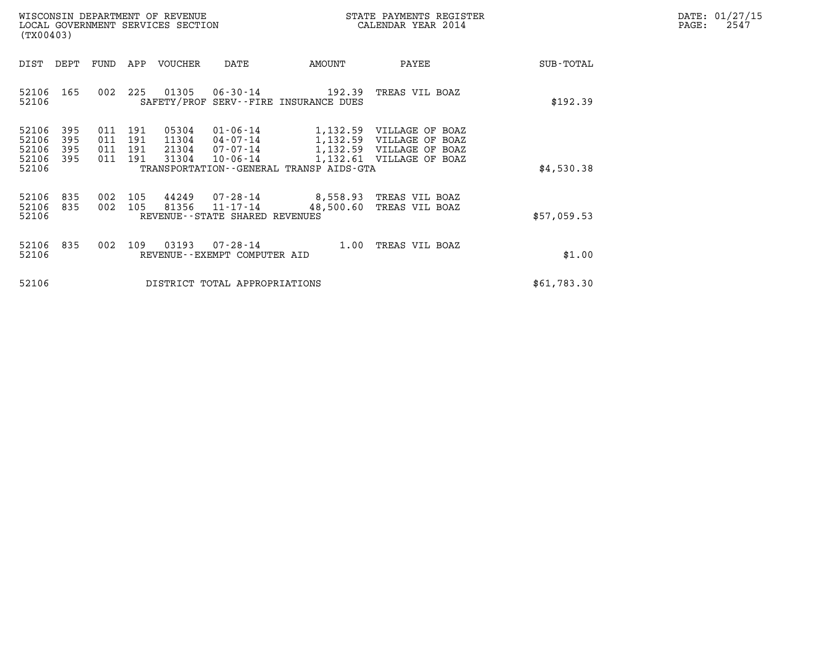| WISCONSIN DEPARTMENT OF REVENUE<br>LOCAL GOVERNMENT SERVICES SECTION | STATE PAYMENTS REGISTER<br>CALENDAR YEAR 2014 | DATE: 01/27/15<br>2547<br>PAGE: |
|----------------------------------------------------------------------|-----------------------------------------------|---------------------------------|

| WISCONSIN DEPARTMENT OF REVENUE<br>LOCAL GOVERNMENT SERVICES SECTION<br>(TX00403)                                                                                 |                                                                                                                                                           | STATE PAYMENTS REGISTER<br>CALENDAR YEAR 2014                            |             | DATE: 01/27/15<br>PAGE:<br>2547 |
|-------------------------------------------------------------------------------------------------------------------------------------------------------------------|-----------------------------------------------------------------------------------------------------------------------------------------------------------|--------------------------------------------------------------------------|-------------|---------------------------------|
| DEPT<br>APP VOUCHER<br>DIST<br>FUND                                                                                                                               | DATE<br>AMOUNT                                                                                                                                            | PAYEE                                                                    | SUB-TOTAL   |                                 |
| 01305<br>165<br>225<br>52106<br>002<br>52106                                                                                                                      | $06 - 30 - 14$ 192.39<br>SAFETY/PROF SERV--FIRE INSURANCE DUES                                                                                            | TREAS VIL BOAZ                                                           | \$192.39    |                                 |
| 395<br>05304<br>52106<br>191<br>011<br>395<br>191<br>52106<br>011<br>11304<br>52106<br>395<br>191<br>011<br>21304<br>52106<br>395<br>191<br>31304<br>011<br>52106 | $01 - 06 - 14$<br>1,132.59<br>1,132.59<br>$04 - 07 - 14$<br>07-07-14<br>1,132.59<br>$10 - 06 - 14$<br>1,132.61<br>TRANSPORTATION--GENERAL TRANSP AIDS-GTA | VILLAGE OF BOAZ<br>VILLAGE OF BOAZ<br>VILLAGE OF BOAZ<br>VILLAGE OF BOAZ | \$4,530.38  |                                 |
| 52106<br>835<br>002<br>105<br>44249<br>52106<br>81356<br>835<br>002<br>105<br>52106<br>REVENUE--STATE SHARED REVENUES                                             | 07-28-14<br>8,558.93<br>11-17-14<br>48,500.60                                                                                                             | TREAS VIL BOAZ<br>TREAS VIL BOAZ                                         | \$57,059.53 |                                 |
| 52106<br>835<br>002<br>109<br>03193<br>52106<br>REVENUE - - EXEMPT COMPUTER AID                                                                                   | $07 - 28 - 14$<br>1.00                                                                                                                                    | TREAS VIL BOAZ                                                           | \$1.00      |                                 |
| 52106                                                                                                                                                             | DISTRICT TOTAL APPROPRIATIONS                                                                                                                             |                                                                          | \$61,783.30 |                                 |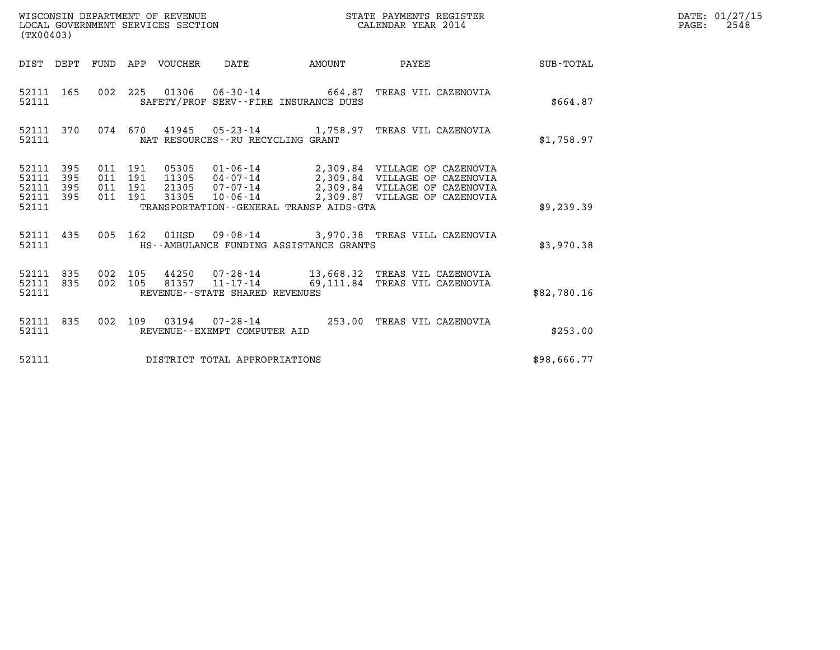| WISCONSIN DEPARTMENT OF REVENUE   | STATE PAYMENTS REGISTER | DATE: 01/27/15 |
|-----------------------------------|-------------------------|----------------|
| LOCAL GOVERNMENT SERVICES SECTION | CALENDAR YEAR 2014      | 2548<br>PAGE:  |

| WISCONSIN DEPARTMENT OF REVENUE<br>LOCAL GOVERNMENT SERVICES SECTION<br>(TX00403)                                                                                 | STATE PAYMENTS REGISTER<br>CALENDAR YEAR 2014                                                                                     |        |                                                                                                 |                  |
|-------------------------------------------------------------------------------------------------------------------------------------------------------------------|-----------------------------------------------------------------------------------------------------------------------------------|--------|-------------------------------------------------------------------------------------------------|------------------|
| DIST<br>DEPT<br>FUND<br>APP                                                                                                                                       | DATE<br>VOUCHER<br>AMOUNT                                                                                                         |        | PAYEE                                                                                           | <b>SUB-TOTAL</b> |
| 002<br>52111<br>165<br>225<br>52111                                                                                                                               | 01306  06-30-14  664.87  TREAS VIL CAZENOVIA<br>SAFETY/PROF SERV--FIRE INSURANCE DUES                                             |        |                                                                                                 | \$664.87         |
| 370<br>074<br>670<br>52111<br>52111                                                                                                                               | 41945 05-23-14 1,758.97 TREAS VIL CAZENOVIA<br>NAT RESOURCES - - RU RECYCLING GRANT                                               |        |                                                                                                 | \$1,758.97       |
| 395<br>52111<br>011<br>191<br>05305<br>52111<br>395<br>011<br>191<br>11305<br>395<br>191<br>21305<br>52111<br>011<br>52111<br>395<br>011<br>191<br>31305<br>52111 | 01-06-14 2,309.84 VILLAGE OF CAZENOVIA<br>$04 - 07 - 14$<br>$07 - 07 - 14$<br>10-06-14<br>TRANSPORTATION--GENERAL TRANSP AIDS-GTA |        | 2,309.84 VILLAGE OF CAZENOVIA<br>2,309.84 VILLAGE OF CAZENOVIA<br>2,309.87 VILLAGE OF CAZENOVIA | \$9,239.39       |
| 52111<br>435<br>005<br>162<br>52111                                                                                                                               | $01$ HSD<br>HS--AMBULANCE FUNDING ASSISTANCE GRANTS                                                                               |        | 09-08-14 3,970.38 TREAS VILL CAZENOVIA                                                          | \$3,970.38       |
| 105<br>52111<br>835<br>002<br>105<br>52111<br>835<br>002<br>52111                                                                                                 | 44250 07-28-14<br>11-17-14 69,111.84 TREAS VIL CAZENOVIA<br>81357<br>REVENUE--STATE SHARED REVENUES                               |        | 13,668.32 TREAS VIL CAZENOVIA                                                                   | \$82,780.16      |
| 002<br>109<br>52111<br>835<br>52111                                                                                                                               | $07 - 28 - 14$<br>03194<br>REVENUE--EXEMPT COMPUTER AID                                                                           | 253.00 | TREAS VIL CAZENOVIA                                                                             | \$253.00         |
| 52111                                                                                                                                                             | DISTRICT TOTAL APPROPRIATIONS                                                                                                     |        |                                                                                                 | \$98,666.77      |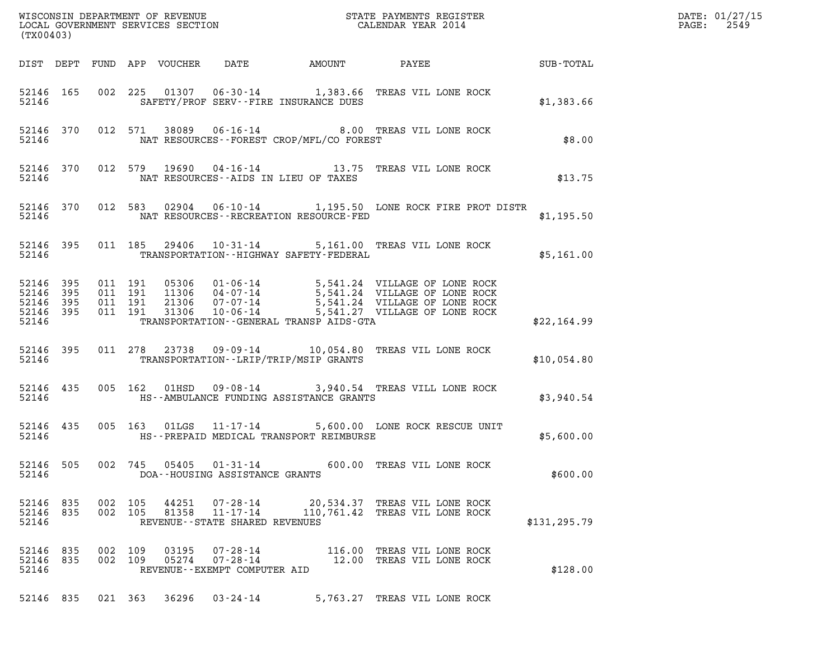| $\mathcal{R}$<br>(TX00403)                                                                                                                                                                                               | DATE: 01/27/15<br>2549<br>$\mathtt{PAGE:}$ |
|--------------------------------------------------------------------------------------------------------------------------------------------------------------------------------------------------------------------------|--------------------------------------------|
|                                                                                                                                                                                                                          |                                            |
| 002 225 01307 06-30-14 1,383.66 TREAS VIL LONE ROCK<br>52146 165<br>52146<br>SAFETY/PROF SERV--FIRE INSURANCE DUES<br>\$1,383.66                                                                                         |                                            |
| 012 571 38089 06-16-14 8.00 TREAS VIL LONE ROCK<br>52146 370<br>NAT RESOURCES--FOREST CROP/MFL/CO FOREST<br>52146<br>\$8.00                                                                                              |                                            |
| 012 579 19690 04-16-14 13.75 TREAS VIL LONE ROCK<br>52146 370<br>NAT RESOURCES--AIDS IN LIEU OF TAXES<br>52146<br>\$13.75                                                                                                |                                            |
| 012 583 02904 06-10-14 1,195.50 LONE ROCK FIRE PROT DISTR<br>52146 370<br>NAT RESOURCES - - RECREATION RESOURCE - FED<br>52146<br>\$1,195.50                                                                             |                                            |
| 011 185 29406 10-31-14 5,161.00 TREAS VIL LONE ROCK<br>52146 395<br>TRANSPORTATION -- HIGHWAY SAFETY-FEDERAL<br>52146<br>\$5,161.00                                                                                      |                                            |
| 52146 395<br>52146<br>- 395<br>52146 395<br>52146 395<br>52146<br>TRANSPORTATION--GENERAL TRANSP AIDS-GTA<br>\$22,164.99                                                                                                 |                                            |
| 011  278  23738  09-09-14  10,054.80  TREAS VIL LONE ROCK<br>52146 395<br>52146<br>TRANSPORTATION - - LRIP/TRIP/MSIP GRANTS<br>\$10,054.80                                                                               |                                            |
| 005 162 01HSD 09-08-14 3,940.54 TREAS VILL LONE ROCK<br>52146 435<br>52146<br>HS--AMBULANCE FUNDING ASSISTANCE GRANTS<br>\$3,940.54                                                                                      |                                            |
| 005 163 01LGS 11-17-14 5,600.00 LONE ROCK RESCUE UNIT<br>52146 435<br>52146<br>HS--PREPAID MEDICAL TRANSPORT REIMBURSE<br>\$5,600.00                                                                                     |                                            |
| 52146 505<br>002 745<br>05405<br>$01 - 31 - 14$<br>600.00 TREAS VIL LONE ROCK<br>52146<br>\$600.00<br>DOA--HOUSING ASSISTANCE GRANTS                                                                                     |                                            |
| 52146 835<br>002 105<br>44251<br>07-28-14<br>20,534.37 TREAS VIL LONE ROCK<br>52146 835<br>002 105<br>81358<br>11-17-14<br>110,761.42 TREAS VIL LONE ROCK<br>52146<br>REVENUE - - STATE SHARED REVENUES<br>\$131, 295.79 |                                            |
| 52146 835<br>002 109<br>03195<br>$07 - 28 - 14$<br>116.00 TREAS VIL LONE ROCK<br>52146 835<br>002 109<br>05274<br>$07 - 28 - 14$<br>12.00 TREAS VIL LONE ROCK<br>52146<br>\$128.00<br>REVENUE - - EXEMPT COMPUTER AID    |                                            |
| 52146 835 021 363 36296 03-24-14<br>5,763.27 TREAS VIL LONE ROCK                                                                                                                                                         |                                            |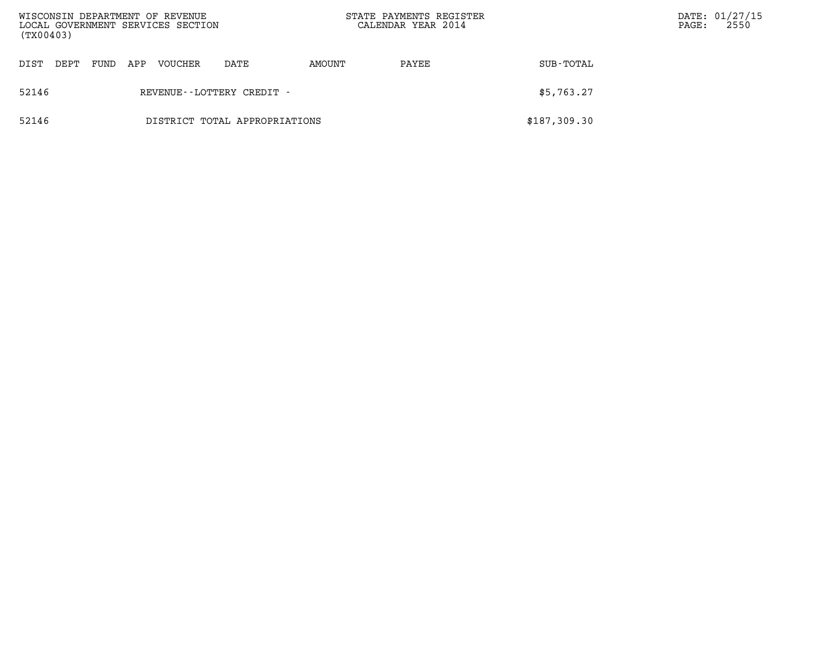| (TX00403) |      |      |     | WISCONSIN DEPARTMENT OF REVENUE<br>LOCAL GOVERNMENT SERVICES SECTION |                               |        | STATE PAYMENTS REGISTER<br>CALENDAR YEAR 2014 |              | PAGE: | DATE: 01/27/15<br>2550 |
|-----------|------|------|-----|----------------------------------------------------------------------|-------------------------------|--------|-----------------------------------------------|--------------|-------|------------------------|
| DIST      | DEPT | FUND | APP | VOUCHER                                                              | DATE                          | AMOUNT | PAYEE                                         | SUB-TOTAL    |       |                        |
| 52146     |      |      |     |                                                                      | REVENUE--LOTTERY CREDIT -     |        |                                               | \$5,763.27   |       |                        |
| 52146     |      |      |     |                                                                      | DISTRICT TOTAL APPROPRIATIONS |        |                                               | \$187,309.30 |       |                        |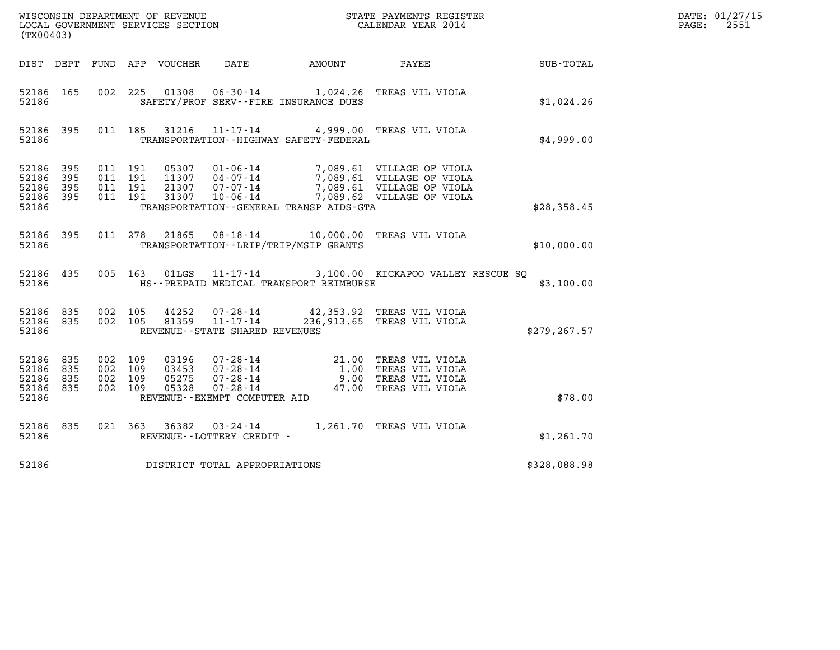| %WISCONSIN DEPARTMENT OF REVENUE $$\tt STATE$ PAYMENTS REGISTER LOCAL GOVERNMENT SERVICES SECTION $$\tt CALEINDAR$ YEAR 2014<br>(TX00403) |            |                                          |  |  |                                   |                                              |                                                                                                                                                                                          |                                                        | DATE: 01/27/15<br>$\mathtt{PAGE:}$<br>2551 |
|-------------------------------------------------------------------------------------------------------------------------------------------|------------|------------------------------------------|--|--|-----------------------------------|----------------------------------------------|------------------------------------------------------------------------------------------------------------------------------------------------------------------------------------------|--------------------------------------------------------|--------------------------------------------|
|                                                                                                                                           |            |                                          |  |  |                                   |                                              |                                                                                                                                                                                          | DIST DEPT FUND APP VOUCHER DATE AMOUNT PAYEE SUB-TOTAL |                                            |
| 52186 165<br>52186                                                                                                                        |            |                                          |  |  |                                   | SAFETY/PROF SERV--FIRE INSURANCE DUES        | 002 225 01308 06-30-14 1,024.26 TREAS VIL VIOLA                                                                                                                                          | \$1,024.26                                             |                                            |
| 52186                                                                                                                                     | 52186 395  |                                          |  |  |                                   | TRANSPORTATION - - HIGHWAY SAFETY - FEDERAL  | 011 185 31216 11-17-14 4,999.00 TREAS VIL VIOLA                                                                                                                                          | \$4,999.00                                             |                                            |
| 52186 395<br>52186<br>52186 395<br>52186 395<br>52186                                                                                     | 395        | 011 191<br>011 191<br>011 191<br>011 191 |  |  |                                   | TRANSPORTATION - - GENERAL TRANSP AIDS - GTA | 05307  01-06-14  7,089.61  VILLAGE OF VIOLA<br>11307  04-07-14  7,089.61  VILLAGE OF VIOLA<br>21307  07-07-14  7,089.61  VILLAGE OF VIOLA<br>31307  10-06-14  7,089.62  VILLAGE OF VIOLA | \$28,358.45                                            |                                            |
| 52186                                                                                                                                     | 52186 395  |                                          |  |  |                                   | TRANSPORTATION--LRIP/TRIP/MSIP GRANTS        | 011 278 21865 08-18-14 10,000.00 TREAS VIL VIOLA                                                                                                                                         | \$10,000.00                                            |                                            |
| 52186                                                                                                                                     | 52186 435  |                                          |  |  |                                   | HS--PREPAID MEDICAL TRANSPORT REIMBURSE      | 005 163 01LGS 11-17-14 3,100.00 KICKAPOO VALLEY RESCUE SQ                                                                                                                                | \$3,100.00                                             |                                            |
| 52186 835<br>52186                                                                                                                        | 52186 835  | 002 105<br>002 105                       |  |  | REVENUE - - STATE SHARED REVENUES |                                              | 44252  07-28-14  42,353.92  TREAS VIL VIOLA<br>81359  11-17-14  236,913.65  TREAS VIL VIOLA                                                                                              | \$279, 267.57                                          |                                            |
| 52186 835<br>52186<br>52186<br>52186 835<br>52186                                                                                         | 835<br>835 | 002 109<br>002 109<br>002 109<br>002 109 |  |  | REVENUE--EXEMPT COMPUTER AID      |                                              | 03196 07-28-14 21.00 TREAS VIL VIOLA<br>03453 07-28-14 1.00 TREAS VIL VIOLA<br>05275 07-28-14 9.00 TREAS VIL VIOLA<br>05328 07-28-14 47.00 TREAS VIL VIOLA                               | \$78.00                                                |                                            |
| 52186 835<br>52186                                                                                                                        |            |                                          |  |  | REVENUE--LOTTERY CREDIT -         |                                              | 021 363 36382 03-24-14 1,261.70 TREAS VIL VIOLA                                                                                                                                          | \$1,261.70                                             |                                            |
| 52186                                                                                                                                     |            |                                          |  |  | DISTRICT TOTAL APPROPRIATIONS     |                                              |                                                                                                                                                                                          | \$328,088.98                                           |                                            |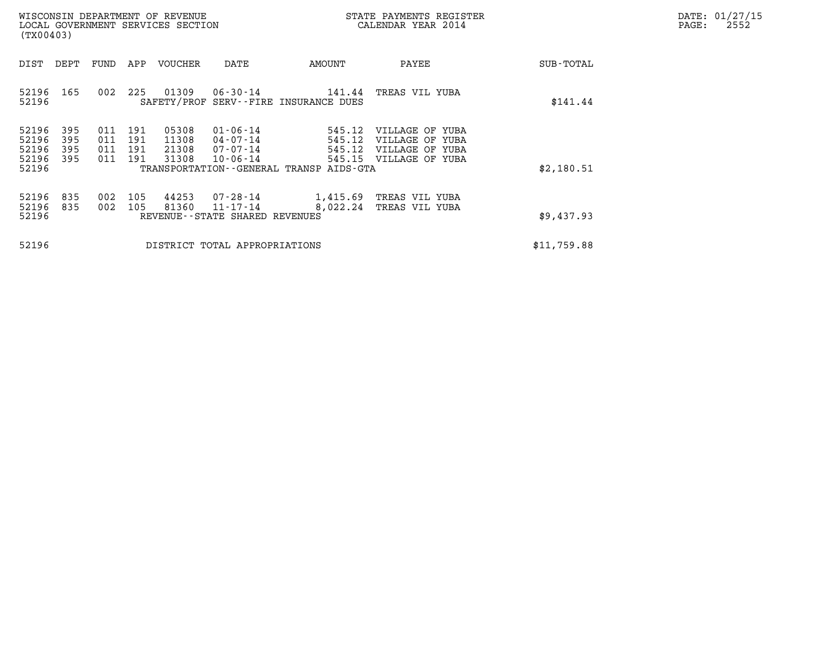| DATE: | 01/27/15 |
|-------|----------|
| PAGE: | 2552     |

| WISCONSIN DEPARTMENT OF REVENUE<br>LOCAL GOVERNMENT SERVICES SECTION<br>(TX00403) |                                           |                          |                          |                          |                                  |                                                                |                                                                                      | STATE PAYMENTS REGISTER<br>CALENDAR YEAR 2014                            |             | DATE: 01/27/15<br>$\mathtt{PAGE}$ :<br>2552 |
|-----------------------------------------------------------------------------------|-------------------------------------------|--------------------------|--------------------------|--------------------------|----------------------------------|----------------------------------------------------------------|--------------------------------------------------------------------------------------|--------------------------------------------------------------------------|-------------|---------------------------------------------|
|                                                                                   | DIST                                      | DEPT                     | FUND                     | APP                      | VOUCHER                          | DATE                                                           | AMOUNT                                                                               | PAYEE                                                                    | SUB-TOTAL   |                                             |
|                                                                                   | 52196<br>52196                            | 165                      | 002                      | 225                      | 01309                            | 06-30-14                                                       | 141.44<br>SAFETY/PROF SERV--FIRE INSURANCE DUES                                      | TREAS VIL YUBA                                                           | \$141.44    |                                             |
|                                                                                   | 52196<br>52196<br>52196<br>52196<br>52196 | 395<br>395<br>395<br>395 | 011<br>011<br>011<br>011 | 191<br>191<br>191<br>191 | 05308<br>11308<br>21308<br>31308 | $01 - 06 - 14$<br>$04 - 07 - 14$<br>07-07-14<br>$10 - 06 - 14$ | 545.12<br>545.12<br>545.12<br>545.15<br>TRANSPORTATION - - GENERAL TRANSP AIDS - GTA | VILLAGE OF YUBA<br>VILLAGE OF YUBA<br>VILLAGE OF YUBA<br>VILLAGE OF YUBA | \$2,180.51  |                                             |
|                                                                                   | 52196<br>52196<br>52196                   | 835<br>835               | 002<br>002               | 105<br>105               | 44253<br>81360                   | 07-28-14<br>$11 - 17 - 14$<br>REVENUE--STATE SHARED REVENUES   | 1,415.69<br>8,022.24                                                                 | TREAS VIL YUBA<br>TREAS VIL YUBA                                         | \$9,437.93  |                                             |
|                                                                                   | 52196                                     |                          |                          |                          |                                  | DISTRICT TOTAL APPROPRIATIONS                                  |                                                                                      |                                                                          | \$11,759.88 |                                             |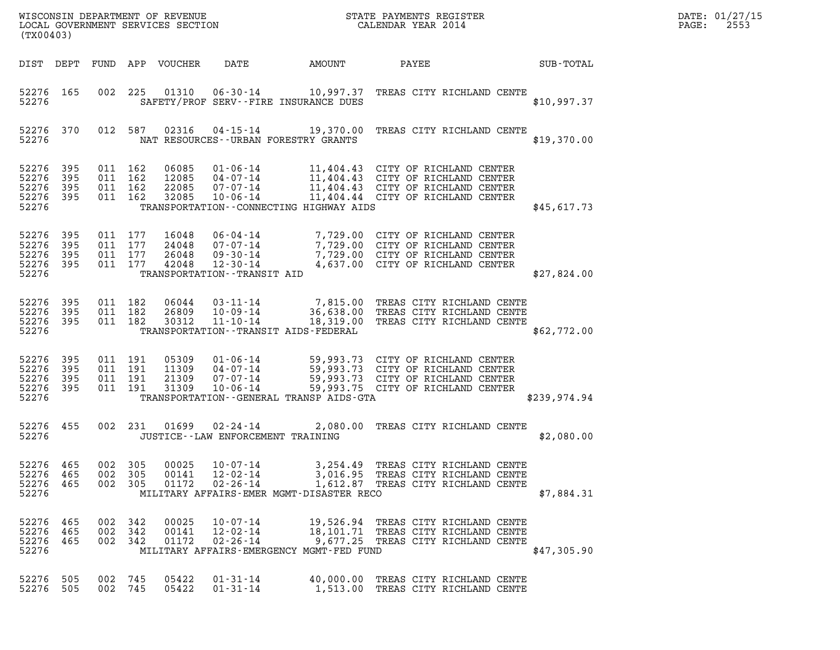| (TX00403)                                         |                     |                                          |     |                                  | WISCONSIN DEPARTMENT OF REVENUE<br>LOCAL GOVERNMENT SERVICES SECTION                             |                                                      | STATE PAYMENTS REGISTER<br>CALENDAR YEAR 2014                                                                                                    |              | DATE: 01/27/15<br>2553<br>PAGE: |
|---------------------------------------------------|---------------------|------------------------------------------|-----|----------------------------------|--------------------------------------------------------------------------------------------------|------------------------------------------------------|--------------------------------------------------------------------------------------------------------------------------------------------------|--------------|---------------------------------|
| DIST DEPT FUND                                    |                     |                                          |     | APP VOUCHER                      | DATE                                                                                             | AMOUNT                                               | PAYEE                                                                                                                                            | SUB-TOTAL    |                                 |
| 52276 165<br>52276                                |                     | 002                                      | 225 | 01310                            | $06 - 30 - 14$                                                                                   | SAFETY/PROF SERV--FIRE INSURANCE DUES                | 10,997.37 TREAS CITY RICHLAND CENTE                                                                                                              | \$10,997.37  |                                 |
| 52276 370<br>52276                                |                     | 012 587                                  |     | 02316                            |                                                                                                  | NAT RESOURCES--URBAN FORESTRY GRANTS                 | 04-15-14 19,370.00 TREAS CITY RICHLAND CENTE                                                                                                     | \$19,370.00  |                                 |
| 52276 395<br>52276<br>52276<br>52276 395<br>52276 | 395<br>395          | 011 162<br>011 162<br>011 162<br>011 162 |     | 06085<br>12085<br>22085<br>32085 | $01 - 06 - 14$<br>04-07-14<br>07-07-14<br>$10 - 06 - 14$                                         | TRANSPORTATION--CONNECTING HIGHWAY AIDS              | 11,404.43 CITY OF RICHLAND CENTER<br>11,404.43 CITY OF RICHLAND CENTER<br>11,404.43 CITY OF RICHLAND CENTER<br>11,404.44 CITY OF RICHLAND CENTER | \$45,617.73  |                                 |
| 52276<br>52276<br>52276<br>52276 395<br>52276     | 395<br>395<br>- 395 | 011 177<br>011 177<br>011 177<br>011 177 |     | 16048<br>24048<br>26048<br>42048 | $06 - 04 - 14$<br>07-07-14<br>$09 - 30 - 14$<br>$12 - 30 - 14$<br>TRANSPORTATION - - TRANSIT AID |                                                      | 7,729.00 CITY OF RICHLAND CENTER<br>7,729.00 CITY OF RICHLAND CENTER<br>7,729.00 CITY OF RICHLAND CENTER<br>4,637.00 CITY OF RICHLAND CENTER     | \$27,824.00  |                                 |
| 52276 395<br>52276<br>52276 395<br>52276          | - 395               | 011 182<br>011 182<br>011 182            |     | 06044<br>26809<br>30312          | $03 - 11 - 14$<br>$10 - 09 - 14$<br>$11 - 10 - 14$                                               | TRANSPORTATION - - TRANSIT AIDS - FEDERAL            | 7,815.00 TREAS CITY RICHLAND CENTE<br>36,638.00 TREAS CITY RICHLAND CENTE<br>18,319.00 TREAS CITY RICHLAND CENTE                                 | \$62,772.00  |                                 |
| 52276 395<br>52276<br>52276<br>52276 395<br>52276 | 395<br>- 395        | 011 191<br>011 191<br>011 191<br>011 191 |     | 05309<br>11309<br>21309<br>31309 | $01 - 06 - 14$<br>$04 - 07 - 14$<br>$07 - 07 - 14$<br>$10 - 06 - 14$                             | TRANSPORTATION--GENERAL TRANSP AIDS-GTA              | 59,993.73 CITY OF RICHLAND CENTER<br>59,993.73 CITY OF RICHLAND CENTER<br>59,993.73 CITY OF RICHLAND CENTER<br>59,993.75 CITY OF RICHLAND CENTER | \$239,974.94 |                                 |
| 52276<br>52276                                    | 455                 | 002 231                                  |     | 01699                            | $02 - 24 - 14$<br>JUSTICE - - LAW ENFORCEMENT TRAINING                                           |                                                      | 2,080.00 TREAS CITY RICHLAND CENTE                                                                                                               | \$2,080.00   |                                 |
| 52276<br>52276<br>52276<br>52276                  | 465<br>465<br>465   | 002<br>002 305<br>002 305                | 305 | 00025<br>00141<br>01172          | $10 - 07 - 14$<br>$12 - 02 - 14$<br>$02 - 26 - 14$                                               | 3,254.49<br>MILITARY AFFAIRS-EMER MGMT-DISASTER RECO | TREAS CITY RICHLAND CENTE<br>3,016.95 TREAS CITY RICHLAND CENTE<br>1,612.87 TREAS CITY RICHLAND CENTE                                            | \$7.884.31   |                                 |
| 52276<br>52276<br>52276<br>52276                  | 465<br>465<br>465   | 002 342<br>002 342<br>002 342            |     | 00025<br>00141<br>01172          | $10 - 07 - 14$<br>$12 - 02 - 14$<br>$02 - 26 - 14$                                               | MILITARY AFFAIRS-EMERGENCY MGMT-FED FUND             | 19,526.94 TREAS CITY RICHLAND CENTE<br>18,101.71 TREAS CITY RICHLAND CENTE<br>9,677.25 TREAS CITY RICHLAND CENTE                                 | \$47,305.90  |                                 |
| 52276<br>52276 505                                | 505                 | 002 745<br>002 745                       |     | 05422<br>05422                   | $01 - 31 - 14$<br>$01 - 31 - 14$                                                                 |                                                      | 40,000.00 TREAS CITY RICHLAND CENTE<br>1,513.00 TREAS CITY RICHLAND CENTE                                                                        |              |                                 |